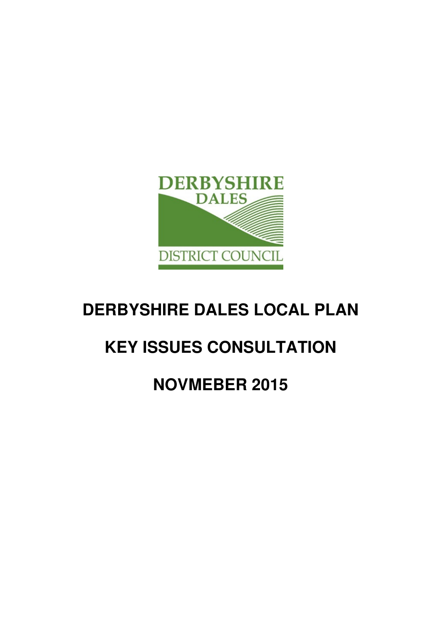

# **DERBYSHIRE DALES LOCAL PLAN**

# **KEY ISSUES CONSULTATION**

# **NOVMEBER 2015**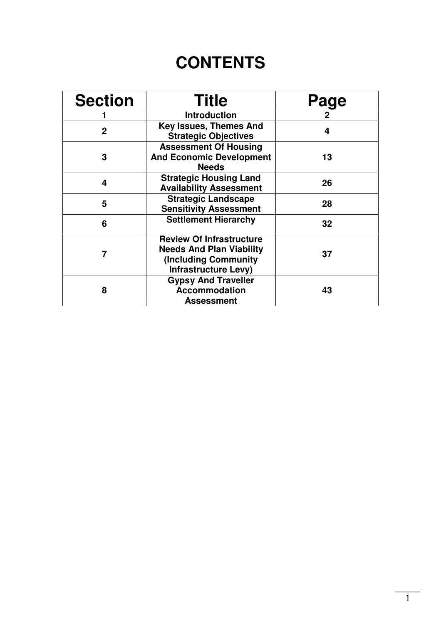# **CONTENTS**

| <b>Section</b>                                                                                                            | <b>Title</b>                                                                    | Page |
|---------------------------------------------------------------------------------------------------------------------------|---------------------------------------------------------------------------------|------|
|                                                                                                                           | <b>Introduction</b>                                                             |      |
| $\overline{2}$                                                                                                            | <b>Key Issues, Themes And</b><br><b>Strategic Objectives</b>                    | 4    |
| 3                                                                                                                         | <b>Assessment Of Housing</b><br><b>And Economic Development</b><br><b>Needs</b> | 13   |
| <b>Strategic Housing Land</b><br>4<br><b>Availability Assessment</b>                                                      |                                                                                 | 26   |
| 5                                                                                                                         | <b>Strategic Landscape</b><br><b>Sensitivity Assessment</b>                     | 28   |
| 6                                                                                                                         | <b>Settlement Hierarchy</b>                                                     | 32   |
| <b>Review Of Infrastructure</b><br><b>Needs And Plan Viability</b><br>(Including Community<br><b>Infrastructure Levy)</b> |                                                                                 | 37   |
| 8                                                                                                                         | <b>Gypsy And Traveller</b><br><b>Accommodation</b><br><b>Assessment</b>         | 43   |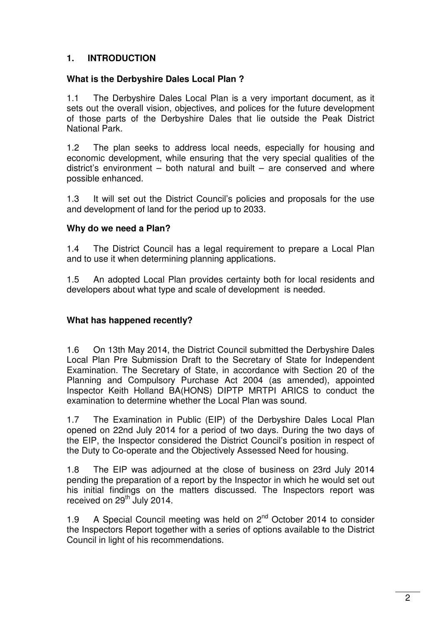#### **1. INTRODUCTION**

#### **What is the Derbyshire Dales Local Plan ?**

1.1 The Derbyshire Dales Local Plan is a very important document, as it sets out the overall vision, objectives, and polices for the future development of those parts of the Derbyshire Dales that lie outside the Peak District National Park.

1.2 The plan seeks to address local needs, especially for housing and economic development, while ensuring that the very special qualities of the district's environment – both natural and built – are conserved and where possible enhanced.

1.3 It will set out the District Council's policies and proposals for the use and development of land for the period up to 2033.

#### **Why do we need a Plan?**

1.4 The District Council has a legal requirement to prepare a Local Plan and to use it when determining planning applications.

1.5 An adopted Local Plan provides certainty both for local residents and developers about what type and scale of development is needed.

#### **What has happened recently?**

1.6 On 13th May 2014, the District Council submitted the Derbyshire Dales Local Plan Pre Submission Draft to the Secretary of State for Independent Examination. The Secretary of State, in accordance with Section 20 of the Planning and Compulsory Purchase Act 2004 (as amended), appointed Inspector Keith Holland BA(HONS) DIPTP MRTPI ARICS to conduct the examination to determine whether the Local Plan was sound.

1.7 The Examination in Public (EIP) of the Derbyshire Dales Local Plan opened on 22nd July 2014 for a period of two days. During the two days of the EIP, the Inspector considered the District Council's position in respect of the Duty to Co-operate and the Objectively Assessed Need for housing.

1.8 The EIP was adjourned at the close of business on 23rd July 2014 pending the preparation of a report by the Inspector in which he would set out his initial findings on the matters discussed. The Inspectors report was received on 29<sup>th</sup> July 2014.

1.9 A Special Council meeting was held on  $2^{nd}$  October 2014 to consider the Inspectors Report together with a series of options available to the District Council in light of his recommendations.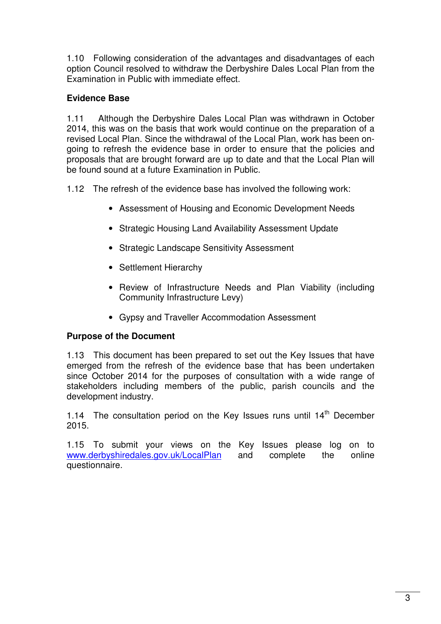1.10 Following consideration of the advantages and disadvantages of each option Council resolved to withdraw the Derbyshire Dales Local Plan from the Examination in Public with immediate effect.

#### **Evidence Base**

1.11 Although the Derbyshire Dales Local Plan was withdrawn in October 2014, this was on the basis that work would continue on the preparation of a revised Local Plan. Since the withdrawal of the Local Plan, work has been ongoing to refresh the evidence base in order to ensure that the policies and proposals that are brought forward are up to date and that the Local Plan will be found sound at a future Examination in Public.

1.12 The refresh of the evidence base has involved the following work:

- Assessment of Housing and Economic Development Needs
- Strategic Housing Land Availability Assessment Update
- Strategic Landscape Sensitivity Assessment
- Settlement Hierarchy
- Review of Infrastructure Needs and Plan Viability (including Community Infrastructure Levy)
- Gypsy and Traveller Accommodation Assessment

#### **Purpose of the Document**

1.13 This document has been prepared to set out the Key Issues that have emerged from the refresh of the evidence base that has been undertaken since October 2014 for the purposes of consultation with a wide range of stakeholders including members of the public, parish councils and the development industry.

1.14 The consultation period on the Key Issues runs until  $14<sup>th</sup>$  December 2015.

1.15 To submit your views on the Key Issues please log on to www.derbyshiredales.gov.uk/LocalPlan and complete the online questionnaire.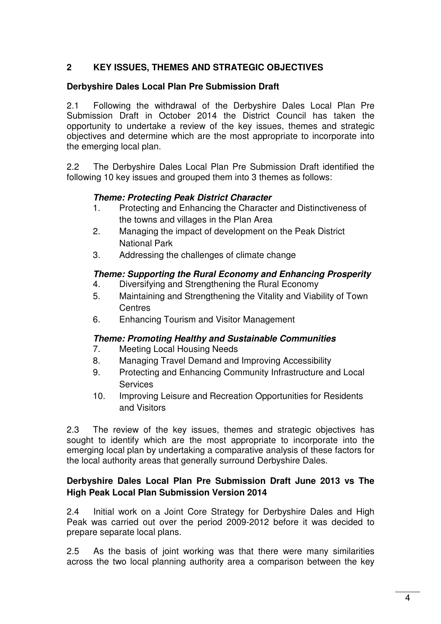#### **2 KEY ISSUES, THEMES AND STRATEGIC OBJECTIVES**

#### **Derbyshire Dales Local Plan Pre Submission Draft**

2.1 Following the withdrawal of the Derbyshire Dales Local Plan Pre Submission Draft in October 2014 the District Council has taken the opportunity to undertake a review of the key issues, themes and strategic objectives and determine which are the most appropriate to incorporate into the emerging local plan.

2.2 The Derbyshire Dales Local Plan Pre Submission Draft identified the following 10 key issues and grouped them into 3 themes as follows:

#### **Theme: Protecting Peak District Character**

- 1. Protecting and Enhancing the Character and Distinctiveness of the towns and villages in the Plan Area
- 2. Managing the impact of development on the Peak District National Park
- 3. Addressing the challenges of climate change

#### **Theme: Supporting the Rural Economy and Enhancing Prosperity**

- 4. Diversifying and Strengthening the Rural Economy
- 5. Maintaining and Strengthening the Vitality and Viability of Town **Centres**
- 6. Enhancing Tourism and Visitor Management

#### **Theme: Promoting Healthy and Sustainable Communities**

- 7. Meeting Local Housing Needs
- 8. Managing Travel Demand and Improving Accessibility
- 9. Protecting and Enhancing Community Infrastructure and Local **Services**
- 10. Improving Leisure and Recreation Opportunities for Residents and Visitors

2.3 The review of the key issues, themes and strategic objectives has sought to identify which are the most appropriate to incorporate into the emerging local plan by undertaking a comparative analysis of these factors for the local authority areas that generally surround Derbyshire Dales.

#### **Derbyshire Dales Local Plan Pre Submission Draft June 2013 vs The High Peak Local Plan Submission Version 2014**

2.4 Initial work on a Joint Core Strategy for Derbyshire Dales and High Peak was carried out over the period 2009-2012 before it was decided to prepare separate local plans.

2.5 As the basis of joint working was that there were many similarities across the two local planning authority area a comparison between the key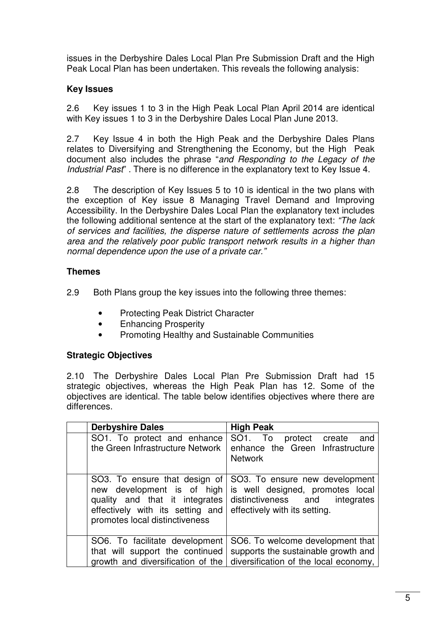issues in the Derbyshire Dales Local Plan Pre Submission Draft and the High Peak Local Plan has been undertaken. This reveals the following analysis:

#### **Key Issues**

2.6 Key issues 1 to 3 in the High Peak Local Plan April 2014 are identical with Key issues 1 to 3 in the Derbyshire Dales Local Plan June 2013.

2.7 Key Issue 4 in both the High Peak and the Derbyshire Dales Plans relates to Diversifying and Strengthening the Economy, but the High Peak document also includes the phrase "and Responding to the Legacy of the Industrial Past". There is no difference in the explanatory text to Key Issue 4.

2.8 The description of Key Issues 5 to 10 is identical in the two plans with the exception of Key issue 8 Managing Travel Demand and Improving Accessibility. In the Derbyshire Dales Local Plan the explanatory text includes the following additional sentence at the start of the explanatory text: "The lack of services and facilities, the disperse nature of settlements across the plan area and the relatively poor public transport network results in a higher than normal dependence upon the use of a private car."

#### **Themes**

2.9 Both Plans group the key issues into the following three themes:

- Protecting Peak District Character
- Enhancing Prosperity
- Promoting Healthy and Sustainable Communities

#### **Strategic Objectives**

2.10 The Derbyshire Dales Local Plan Pre Submission Draft had 15 strategic objectives, whereas the High Peak Plan has 12. Some of the objectives are identical. The table below identifies objectives where there are differences.

| <b>Derbyshire Dales</b>                                                                                                                                             | <b>High Peak</b>                                                                                                                         |  |  |
|---------------------------------------------------------------------------------------------------------------------------------------------------------------------|------------------------------------------------------------------------------------------------------------------------------------------|--|--|
| SO1. To protect and enhance<br>the Green Infrastructure Network                                                                                                     | SO1. To protect create<br>and<br>enhance the Green Infrastructure<br><b>Network</b>                                                      |  |  |
| SO3. To ensure that design of<br>new development is of high<br>quality and that it integrates<br>effectively with its setting and<br>promotes local distinctiveness | SO3. To ensure new development<br>is well designed, promotes local<br>distinctiveness and<br>integrates<br>effectively with its setting. |  |  |
| SO6. To facilitate development<br>that will support the continued<br>growth and diversification of the                                                              | SO6. To welcome development that<br>supports the sustainable growth and<br>diversification of the local economy,                         |  |  |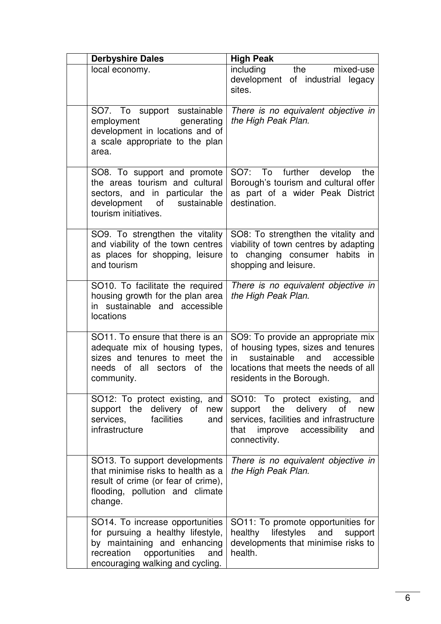| <b>Derbyshire Dales</b>                                                                                                                                                        | <b>High Peak</b>                                                                                                                                                                        |  |  |
|--------------------------------------------------------------------------------------------------------------------------------------------------------------------------------|-----------------------------------------------------------------------------------------------------------------------------------------------------------------------------------------|--|--|
| local economy.                                                                                                                                                                 | including<br>the<br>mixed-use<br>development of industrial<br>legacy<br>sites.                                                                                                          |  |  |
| SO7. To support sustainable<br>employment<br>generating<br>development in locations and of<br>a scale appropriate to the plan<br>area.                                         | There is no equivalent objective in<br>the High Peak Plan.                                                                                                                              |  |  |
| SO8. To support and promote<br>the areas tourism and cultural<br>sectors, and in particular the<br>development of<br>sustainable<br>tourism initiatives.                       | SO7: To further develop<br>the<br>Borough's tourism and cultural offer<br>as part of a wider Peak District<br>destination.                                                              |  |  |
| SO9. To strengthen the vitality<br>and viability of the town centres<br>as places for shopping, leisure<br>and tourism                                                         | SO8: To strengthen the vitality and<br>viability of town centres by adapting<br>to changing consumer habits in<br>shopping and leisure.                                                 |  |  |
| SO <sub>10</sub> . To facilitate the required<br>housing growth for the plan area<br>in sustainable and accessible<br>locations                                                | There is no equivalent objective in<br>the High Peak Plan.                                                                                                                              |  |  |
| SO11. To ensure that there is an<br>adequate mix of housing types,<br>sizes and tenures to meet the<br>needs of all sectors of the<br>community.                               | SO9: To provide an appropriate mix<br>of housing types, sizes and tenures<br>sustainable and<br>accessible<br>in.<br>locations that meets the needs of all<br>residents in the Borough. |  |  |
| SO12: To protect existing, and<br>support the delivery of<br>new<br>services,<br>facilities<br>and<br>infrastructure                                                           | SO10: To protect existing,<br>and<br>the delivery<br>support<br>of<br>new<br>services, facilities and infrastructure<br>improve<br>accessibility<br>that<br>and<br>connectivity.        |  |  |
| SO13. To support developments<br>that minimise risks to health as a<br>result of crime (or fear of crime),<br>flooding, pollution and climate<br>change.                       | There is no equivalent objective in<br>the High Peak Plan.                                                                                                                              |  |  |
| SO14. To increase opportunities<br>for pursuing a healthy lifestyle,<br>by maintaining and enhancing<br>recreation<br>opportunities<br>and<br>encouraging walking and cycling. | SO11: To promote opportunities for<br>healthy lifestyles<br>and<br>support<br>developments that minimise risks to<br>health.                                                            |  |  |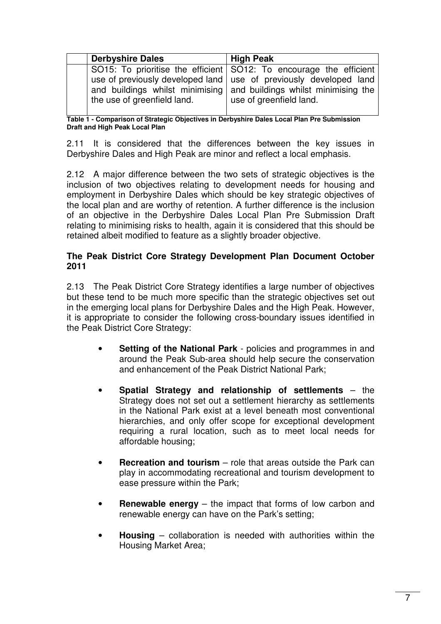| <b>Derbyshire Dales</b>     | <b>High Peak</b>                                                                                                                                                      |  |  |
|-----------------------------|-----------------------------------------------------------------------------------------------------------------------------------------------------------------------|--|--|
|                             | SO15: To prioritise the efficient SO12: To encourage the efficient                                                                                                    |  |  |
| the use of greenfield land. | use of previously developed land   use of previously developed land<br>and buildings whilst minimising and buildings whilst minimising the<br>use of greenfield land. |  |  |

**Table 1 - Comparison of Strategic Objectives in Derbyshire Dales Local Plan Pre Submission Draft and High Peak Local Plan**

2.11 It is considered that the differences between the key issues in Derbyshire Dales and High Peak are minor and reflect a local emphasis.

2.12 A major difference between the two sets of strategic objectives is the inclusion of two objectives relating to development needs for housing and employment in Derbyshire Dales which should be key strategic objectives of the local plan and are worthy of retention. A further difference is the inclusion of an objective in the Derbyshire Dales Local Plan Pre Submission Draft relating to minimising risks to health, again it is considered that this should be retained albeit modified to feature as a slightly broader objective.

#### **The Peak District Core Strategy Development Plan Document October 2011**

2.13 The Peak District Core Strategy identifies a large number of objectives but these tend to be much more specific than the strategic objectives set out in the emerging local plans for Derbyshire Dales and the High Peak. However, it is appropriate to consider the following cross-boundary issues identified in the Peak District Core Strategy:

- **Setting of the National Park** policies and programmes in and around the Peak Sub-area should help secure the conservation and enhancement of the Peak District National Park;
- **Spatial Strategy and relationship of settlements** the Strategy does not set out a settlement hierarchy as settlements in the National Park exist at a level beneath most conventional hierarchies, and only offer scope for exceptional development requiring a rural location, such as to meet local needs for affordable housing;
- **Recreation and tourism** role that areas outside the Park can play in accommodating recreational and tourism development to ease pressure within the Park;
- **Renewable energy** the impact that forms of low carbon and renewable energy can have on the Park's setting;
- **Housing** collaboration is needed with authorities within the Housing Market Area;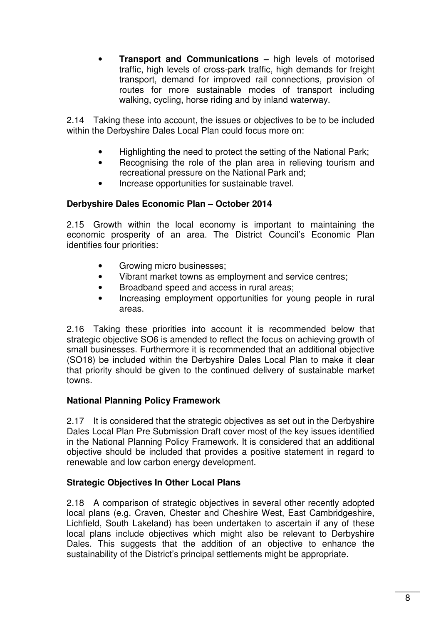• **Transport and Communications –** high levels of motorised traffic, high levels of cross-park traffic, high demands for freight transport, demand for improved rail connections, provision of routes for more sustainable modes of transport including walking, cycling, horse riding and by inland waterway.

2.14 Taking these into account, the issues or objectives to be to be included within the Derbyshire Dales Local Plan could focus more on:

- Highlighting the need to protect the setting of the National Park;
- Recognising the role of the plan area in relieving tourism and recreational pressure on the National Park and;
- Increase opportunities for sustainable travel.

#### **Derbyshire Dales Economic Plan – October 2014**

2.15 Growth within the local economy is important to maintaining the economic prosperity of an area. The District Council's Economic Plan identifies four priorities:

- Growing micro businesses;
- Vibrant market towns as employment and service centres;
- Broadband speed and access in rural areas;
- Increasing employment opportunities for young people in rural areas.

2.16 Taking these priorities into account it is recommended below that strategic objective SO6 is amended to reflect the focus on achieving growth of small businesses. Furthermore it is recommended that an additional objective (SO18) be included within the Derbyshire Dales Local Plan to make it clear that priority should be given to the continued delivery of sustainable market towns.

#### **National Planning Policy Framework**

2.17 It is considered that the strategic objectives as set out in the Derbyshire Dales Local Plan Pre Submission Draft cover most of the key issues identified in the National Planning Policy Framework. It is considered that an additional objective should be included that provides a positive statement in regard to renewable and low carbon energy development.

#### **Strategic Objectives In Other Local Plans**

2.18 A comparison of strategic objectives in several other recently adopted local plans (e.g. Craven, Chester and Cheshire West, East Cambridgeshire, Lichfield, South Lakeland) has been undertaken to ascertain if any of these local plans include objectives which might also be relevant to Derbyshire Dales. This suggests that the addition of an objective to enhance the sustainability of the District's principal settlements might be appropriate.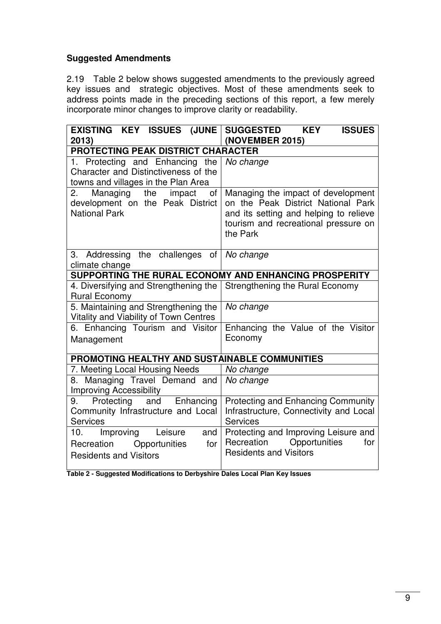#### **Suggested Amendments**

2.19 Table 2 below shows suggested amendments to the previously agreed key issues and strategic objectives. Most of these amendments seek to address points made in the preceding sections of this report, a few merely incorporate minor changes to improve clarity or readability.

| EXISTING KEY ISSUES (JUNE<br>2013)                                                                                | SUGGESTED KEY<br><b>ISSUES</b><br>(NOVEMBER 2015)                                                                                                                      |  |  |  |
|-------------------------------------------------------------------------------------------------------------------|------------------------------------------------------------------------------------------------------------------------------------------------------------------------|--|--|--|
| <b>PROTECTING PEAK DISTRICT CHARACTER</b>                                                                         |                                                                                                                                                                        |  |  |  |
| 1. Protecting and Enhancing<br>the<br>Character and Distinctiveness of the<br>towns and villages in the Plan Area | No change                                                                                                                                                              |  |  |  |
| Managing the<br>impact<br>of<br>2.<br>development on the Peak District<br><b>National Park</b>                    | Managing the impact of development<br>on the Peak District National Park<br>and its setting and helping to relieve<br>tourism and recreational pressure on<br>the Park |  |  |  |
| Addressing the challenges<br>3.<br>of I<br>climate change                                                         | No change                                                                                                                                                              |  |  |  |
| SUPPORTING THE RURAL ECONOMY AND ENHANCING PROSPERITY                                                             |                                                                                                                                                                        |  |  |  |
| 4. Diversifying and Strengthening the<br><b>Rural Economy</b>                                                     | Strengthening the Rural Economy                                                                                                                                        |  |  |  |
| 5. Maintaining and Strengthening the<br>Vitality and Viability of Town Centres                                    | No change                                                                                                                                                              |  |  |  |
| 6. Enhancing Tourism and Visitor<br>Management                                                                    | Enhancing the Value of the Visitor<br>Economy                                                                                                                          |  |  |  |
| PROMOTING HEALTHY AND SUSTAINABLE COMMUNITIES                                                                     |                                                                                                                                                                        |  |  |  |
| 7. Meeting Local Housing Needs                                                                                    | No change                                                                                                                                                              |  |  |  |
| 8. Managing Travel Demand and<br><b>Improving Accessibility</b>                                                   | No change                                                                                                                                                              |  |  |  |
| Protecting<br>and<br>Enhancing<br>9.<br>Community Infrastructure and Local<br><b>Services</b>                     | <b>Protecting and Enhancing Community</b><br>Infrastructure, Connectivity and Local<br><b>Services</b>                                                                 |  |  |  |
| Improving<br>Leisure<br>and<br>10.<br>Recreation Opportunities<br>for<br><b>Residents and Visitors</b>            | Protecting and Improving Leisure and<br>Opportunities<br>Recreation<br>for<br><b>Residents and Visitors</b>                                                            |  |  |  |

**Table 2 - Suggested Modifications to Derbyshire Dales Local Plan Key Issues**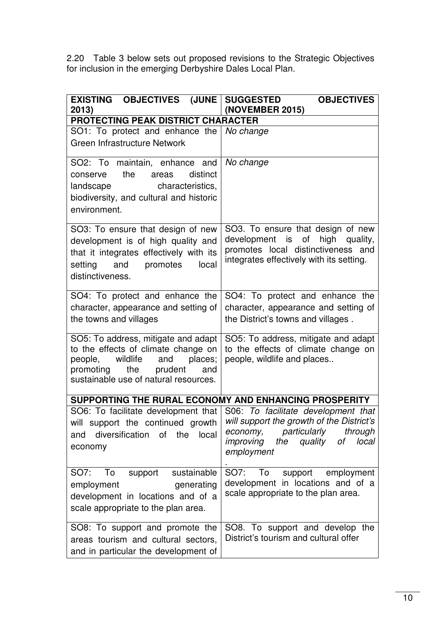2.20 Table 3 below sets out proposed revisions to the Strategic Objectives for inclusion in the emerging Derbyshire Dales Local Plan.

| EXISTING OBJECTIVES (JUNE)<br>2013)                                      | <b>SUGGESTED</b><br><b>OBJECTIVES</b><br>(NOVEMBER 2015)                  |  |
|--------------------------------------------------------------------------|---------------------------------------------------------------------------|--|
| PROTECTING PEAK DISTRICT CHARACTER                                       |                                                                           |  |
| SO1: To protect and enhance the   No change                              |                                                                           |  |
| Green Infrastructure Network                                             |                                                                           |  |
|                                                                          |                                                                           |  |
| SO2: To maintain, enhance and   No change                                |                                                                           |  |
| the<br>distinct<br>conserve<br>areas                                     |                                                                           |  |
| characteristics,<br>landscape                                            |                                                                           |  |
| biodiversity, and cultural and historic                                  |                                                                           |  |
| environment.                                                             |                                                                           |  |
| SO3: To ensure that design of new                                        | SO3. To ensure that design of new                                         |  |
| development is of high quality and                                       | development is of high<br>quality,                                        |  |
| that it integrates effectively with its                                  | promotes local distinctiveness and                                        |  |
| setting and promotes<br>local                                            | integrates effectively with its setting.                                  |  |
| distinctiveness.                                                         |                                                                           |  |
|                                                                          |                                                                           |  |
| SO4: To protect and enhance the                                          | SO4: To protect and enhance the                                           |  |
| character, appearance and setting of                                     | character, appearance and setting of                                      |  |
| the towns and villages                                                   | the District's towns and villages.                                        |  |
| SO5: To address, mitigate and adapt                                      | SO5: To address, mitigate and adapt                                       |  |
| to the effects of climate change on                                      | to the effects of climate change on                                       |  |
| wildlife<br>and<br>places;<br>people,                                    | people, wildlife and places                                               |  |
| the prudent<br>promoting<br>and<br>sustainable use of natural resources. |                                                                           |  |
|                                                                          |                                                                           |  |
| SUPPORTING THE RURAL ECONOMY AND ENHANCING PROSPERITY                    |                                                                           |  |
|                                                                          | SO6: To facilitate development that   S06: To facilitate development that |  |
| will support the continued growth                                        | will support the growth of the District's                                 |  |
| and diversification of the local                                         | economy, particularly<br>through<br>the quality<br>improving<br>of local  |  |
| economy                                                                  | employment                                                                |  |
|                                                                          |                                                                           |  |
| support sustainable<br>SO7:<br>To                                        | SO7:<br>support<br>To<br>employment                                       |  |
| generating<br>employment                                                 | development in locations and of a                                         |  |
| development in locations and of a                                        | scale appropriate to the plan area.                                       |  |
| scale appropriate to the plan area.                                      |                                                                           |  |
| SO8: To support and promote the                                          | SO8. To support and develop the                                           |  |
| areas tourism and cultural sectors,                                      | District's tourism and cultural offer                                     |  |
| and in particular the development of                                     |                                                                           |  |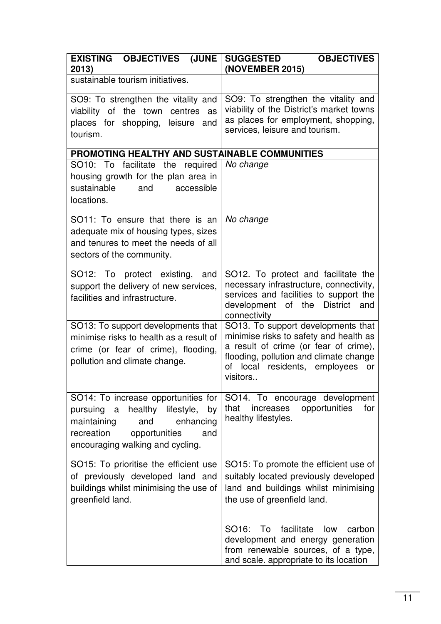| <b>EXISTING OBJECTIVES (JUNE</b><br>2013)                                                                                                                                                  | <b>SUGGESTED</b><br><b>OBJECTIVES</b><br>(NOVEMBER 2015)                                                                                                                                                           |  |  |
|--------------------------------------------------------------------------------------------------------------------------------------------------------------------------------------------|--------------------------------------------------------------------------------------------------------------------------------------------------------------------------------------------------------------------|--|--|
| sustainable tourism initiatives.                                                                                                                                                           |                                                                                                                                                                                                                    |  |  |
| SO9: To strengthen the vitality and<br>viability of the town centres as<br>places for shopping, leisure and<br>tourism.                                                                    | SO9: To strengthen the vitality and<br>viability of the District's market towns<br>as places for employment, shopping,<br>services, leisure and tourism.                                                           |  |  |
| PROMOTING HEALTHY AND SUSTAINABLE COMMUNITIES                                                                                                                                              |                                                                                                                                                                                                                    |  |  |
| SO10: To facilitate the required<br>housing growth for the plan area in<br>sustainable<br>accessible<br>and<br>locations.                                                                  | No change                                                                                                                                                                                                          |  |  |
| SO11: To ensure that there is an<br>adequate mix of housing types, sizes<br>and tenures to meet the needs of all<br>sectors of the community.                                              | No change                                                                                                                                                                                                          |  |  |
| SO12: To protect existing,<br>and<br>support the delivery of new services,<br>facilities and infrastructure.                                                                               | SO12. To protect and facilitate the<br>necessary infrastructure, connectivity,<br>services and facilities to support the<br>development of the<br><b>District</b><br>and<br>connectivity                           |  |  |
| SO13: To support developments that<br>minimise risks to health as a result of<br>crime (or fear of crime), flooding,<br>pollution and climate change.                                      | SO13. To support developments that<br>minimise risks to safety and health as<br>a result of crime (or fear of crime),<br>flooding, pollution and climate change<br>of local residents, employees<br>or<br>visitors |  |  |
| SO14: To increase opportunities for<br>healthy lifestyle,<br>pursuing a<br>by<br>maintaining<br>enhancing<br>and<br>recreation<br>opportunities<br>and<br>encouraging walking and cycling. | SO14. To encourage development<br>opportunities<br>for<br>that<br>increases<br>healthy lifestyles.                                                                                                                 |  |  |
| SO15: To prioritise the efficient use<br>of previously developed land and<br>buildings whilst minimising the use of<br>greenfield land.                                                    | SO15: To promote the efficient use of<br>suitably located previously developed<br>land and buildings whilst minimising<br>the use of greenfield land.                                                              |  |  |
|                                                                                                                                                                                            | SO <sub>16:</sub><br>facilitate<br>To<br>low<br>carbon<br>development and energy generation<br>from renewable sources, of a type,<br>and scale. appropriate to its location                                        |  |  |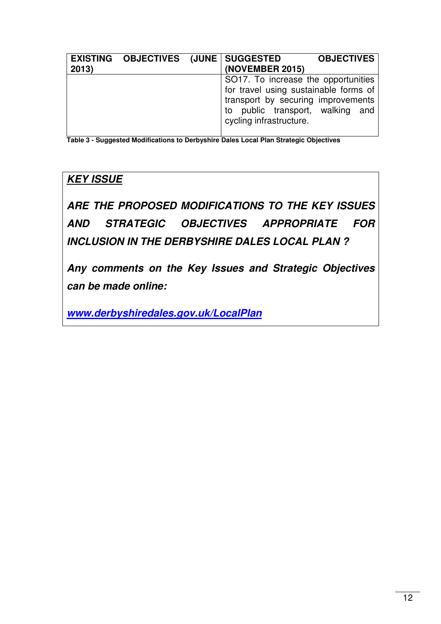| 2013) | EXISTING OBJECTIVES (JUNE SUGGESTED | (NOVEMBER 2015)                                                                                                                                                                      | <b>OBJECTIVES</b> |
|-------|-------------------------------------|--------------------------------------------------------------------------------------------------------------------------------------------------------------------------------------|-------------------|
|       |                                     | SO17. To increase the opportunities<br>for travel using sustainable forms of<br>transport by securing improvements<br>public transport, walking and<br>to<br>cycling infrastructure. |                   |

**Table 3 - Suggested Modifications to Derbyshire Dales Local Plan Strategic Objectives**

## **KEY ISSUE**

**ARE THE PROPOSED MODIFICATIONS TO THE KEY ISSUES AND STRATEGIC OBJECTIVES APPROPRIATE FOR INCLUSION IN THE DERBYSHIRE DALES LOCAL PLAN ?** 

**Any comments on the Key Issues and Strategic Objectives can be made online:** 

**www.derbyshiredales.gov.uk/LocalPlan**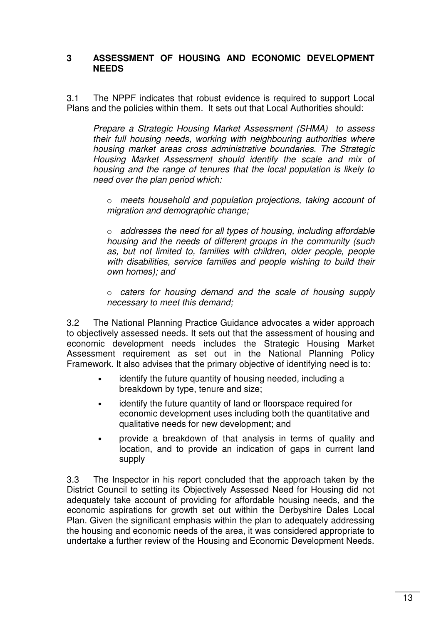#### **3 ASSESSMENT OF HOUSING AND ECONOMIC DEVELOPMENT NEEDS**

3.1 The NPPF indicates that robust evidence is required to support Local Plans and the policies within them. It sets out that Local Authorities should:

Prepare a Strategic Housing Market Assessment (SHMA) to assess their full housing needs, working with neighbouring authorities where housing market areas cross administrative boundaries. The Strategic Housing Market Assessment should identify the scale and mix of housing and the range of tenures that the local population is likely to need over the plan period which:

o meets household and population projections, taking account of migration and demographic change;

 $\circ$  addresses the need for all types of housing, including affordable housing and the needs of different groups in the community (such as, but not limited to, families with children, older people, people with disabilities, service families and people wishing to build their own homes); and

o caters for housing demand and the scale of housing supply necessary to meet this demand;

3.2 The National Planning Practice Guidance advocates a wider approach to objectively assessed needs. It sets out that the assessment of housing and economic development needs includes the Strategic Housing Market Assessment requirement as set out in the National Planning Policy Framework. It also advises that the primary objective of identifying need is to:

- identify the future quantity of housing needed, including a breakdown by type, tenure and size;
- identify the future quantity of land or floorspace required for economic development uses including both the quantitative and qualitative needs for new development; and
- provide a breakdown of that analysis in terms of quality and location, and to provide an indication of gaps in current land supply

3.3 The Inspector in his report concluded that the approach taken by the District Council to setting its Objectively Assessed Need for Housing did not adequately take account of providing for affordable housing needs, and the economic aspirations for growth set out within the Derbyshire Dales Local Plan. Given the significant emphasis within the plan to adequately addressing the housing and economic needs of the area, it was considered appropriate to undertake a further review of the Housing and Economic Development Needs.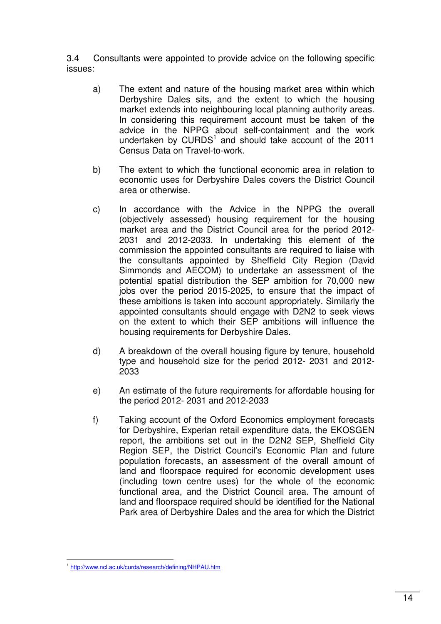3.4 Consultants were appointed to provide advice on the following specific issues:

- a) The extent and nature of the housing market area within which Derbyshire Dales sits, and the extent to which the housing market extends into neighbouring local planning authority areas. In considering this requirement account must be taken of the advice in the NPPG about self-containment and the work undertaken by  $\text{CURDS}^1$  and should take account of the 2011 Census Data on Travel-to-work.
- b) The extent to which the functional economic area in relation to economic uses for Derbyshire Dales covers the District Council area or otherwise.
- c) In accordance with the Advice in the NPPG the overall (objectively assessed) housing requirement for the housing market area and the District Council area for the period 2012- 2031 and 2012-2033. In undertaking this element of the commission the appointed consultants are required to liaise with the consultants appointed by Sheffield City Region (David Simmonds and AECOM) to undertake an assessment of the potential spatial distribution the SEP ambition for 70,000 new jobs over the period 2015-2025, to ensure that the impact of these ambitions is taken into account appropriately. Similarly the appointed consultants should engage with D2N2 to seek views on the extent to which their SEP ambitions will influence the housing requirements for Derbyshire Dales.
- d) A breakdown of the overall housing figure by tenure, household type and household size for the period 2012- 2031 and 2012- 2033
- e) An estimate of the future requirements for affordable housing for the period 2012- 2031 and 2012-2033
- f) Taking account of the Oxford Economics employment forecasts for Derbyshire, Experian retail expenditure data, the EKOSGEN report, the ambitions set out in the D2N2 SEP, Sheffield City Region SEP, the District Council's Economic Plan and future population forecasts, an assessment of the overall amount of land and floorspace required for economic development uses (including town centre uses) for the whole of the economic functional area, and the District Council area. The amount of land and floorspace required should be identified for the National Park area of Derbyshire Dales and the area for which the District

 1 http://www.ncl.ac.uk/curds/research/defining/NHPAU.htm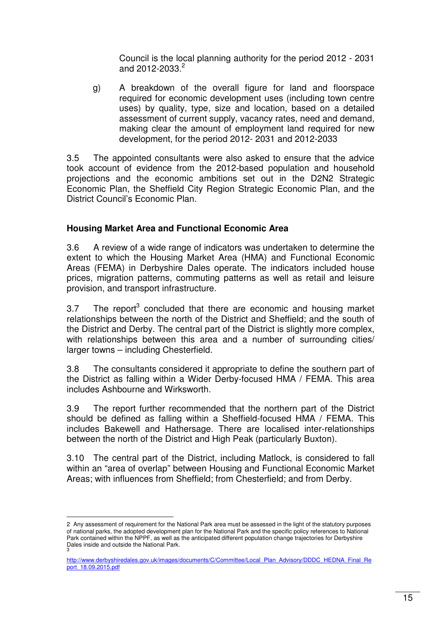Council is the local planning authority for the period 2012 - 2031 and 2012-2033.<sup>2</sup>

g) A breakdown of the overall figure for land and floorspace required for economic development uses (including town centre uses) by quality, type, size and location, based on a detailed assessment of current supply, vacancy rates, need and demand, making clear the amount of employment land required for new development, for the period 2012- 2031 and 2012-2033

3.5 The appointed consultants were also asked to ensure that the advice took account of evidence from the 2012-based population and household projections and the economic ambitions set out in the D2N2 Strategic Economic Plan, the Sheffield City Region Strategic Economic Plan, and the District Council's Economic Plan.

#### **Housing Market Area and Functional Economic Area**

3.6 A review of a wide range of indicators was undertaken to determine the extent to which the Housing Market Area (HMA) and Functional Economic Areas (FEMA) in Derbyshire Dales operate. The indicators included house prices, migration patterns, commuting patterns as well as retail and leisure provision, and transport infrastructure.

3.7 The report<sup>3</sup> concluded that there are economic and housing market relationships between the north of the District and Sheffield; and the south of the District and Derby. The central part of the District is slightly more complex, with relationships between this area and a number of surrounding cities/ larger towns – including Chesterfield.

3.8 The consultants considered it appropriate to define the southern part of the District as falling within a Wider Derby-focused HMA / FEMA. This area includes Ashbourne and Wirksworth.

3.9 The report further recommended that the northern part of the District should be defined as falling within a Sheffield-focused HMA / FEMA. This includes Bakewell and Hathersage. There are localised inter-relationships between the north of the District and High Peak (particularly Buxton).

3.10 The central part of the District, including Matlock, is considered to fall within an "area of overlap" between Housing and Functional Economic Market Areas; with influences from Sheffield; from Chesterfield; and from Derby.

 $\overline{a}$ 2 Any assessment of requirement for the National Park area must be assessed in the light of the statutory purposes of national parks, the adopted development plan for the National Park and the specific policy references to National Park contained within the NPPF, as well as the anticipated different population change trajectories for Derbyshire Dales inside and outside the National Park. 3

http://www.derbyshiredales.gov.uk/images/documents/C/Committee/Local\_Plan\_Advisory/DDDC\_HEDNA\_Final\_Re port\_18.09.2015.pdf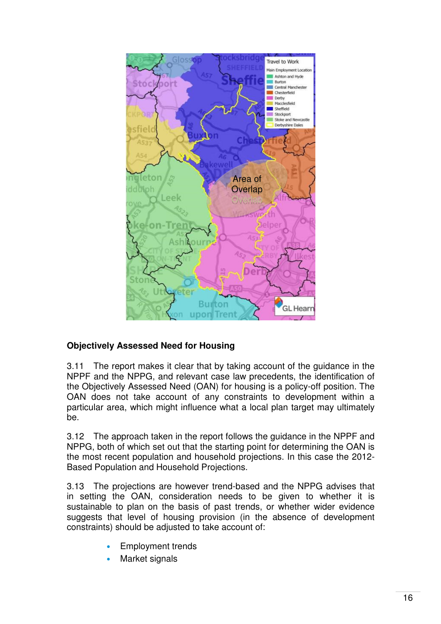

#### **Objectively Assessed Need for Housing**

3.11 The report makes it clear that by taking account of the guidance in the NPPF and the NPPG, and relevant case law precedents, the identification of the Objectively Assessed Need (OAN) for housing is a policy-off position. The OAN does not take account of any constraints to development within a particular area, which might influence what a local plan target may ultimately be.

3.12 The approach taken in the report follows the guidance in the NPPF and NPPG, both of which set out that the starting point for determining the OAN is the most recent population and household projections. In this case the 2012- Based Population and Household Projections.

3.13 The projections are however trend-based and the NPPG advises that in setting the OAN, consideration needs to be given to whether it is sustainable to plan on the basis of past trends, or whether wider evidence suggests that level of housing provision (in the absence of development constraints) should be adjusted to take account of:

- Employment trends
- Market signals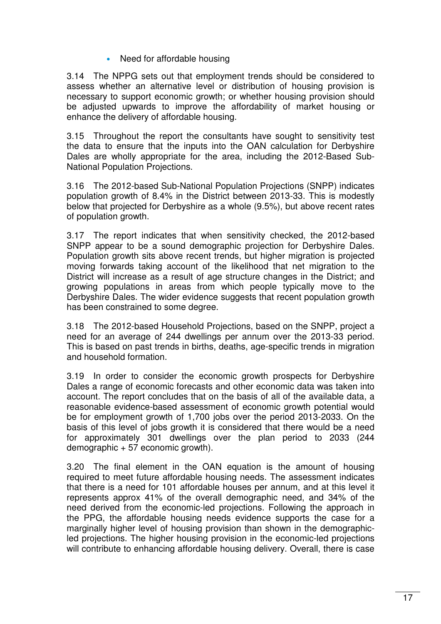• Need for affordable housing

3.14 The NPPG sets out that employment trends should be considered to assess whether an alternative level or distribution of housing provision is necessary to support economic growth; or whether housing provision should be adjusted upwards to improve the affordability of market housing or enhance the delivery of affordable housing.

3.15 Throughout the report the consultants have sought to sensitivity test the data to ensure that the inputs into the OAN calculation for Derbyshire Dales are wholly appropriate for the area, including the 2012-Based Sub-National Population Projections.

3.16 The 2012-based Sub-National Population Projections (SNPP) indicates population growth of 8.4% in the District between 2013-33. This is modestly below that projected for Derbyshire as a whole (9.5%), but above recent rates of population growth.

3.17 The report indicates that when sensitivity checked, the 2012-based SNPP appear to be a sound demographic projection for Derbyshire Dales. Population growth sits above recent trends, but higher migration is projected moving forwards taking account of the likelihood that net migration to the District will increase as a result of age structure changes in the District; and growing populations in areas from which people typically move to the Derbyshire Dales. The wider evidence suggests that recent population growth has been constrained to some degree.

3.18 The 2012-based Household Projections, based on the SNPP, project a need for an average of 244 dwellings per annum over the 2013-33 period. This is based on past trends in births, deaths, age-specific trends in migration and household formation.

3.19 In order to consider the economic growth prospects for Derbyshire Dales a range of economic forecasts and other economic data was taken into account. The report concludes that on the basis of all of the available data, a reasonable evidence-based assessment of economic growth potential would be for employment growth of 1,700 jobs over the period 2013-2033. On the basis of this level of jobs growth it is considered that there would be a need for approximately 301 dwellings over the plan period to 2033 (244 demographic + 57 economic growth).

3.20 The final element in the OAN equation is the amount of housing required to meet future affordable housing needs. The assessment indicates that there is a need for 101 affordable houses per annum, and at this level it represents approx 41% of the overall demographic need, and 34% of the need derived from the economic-led projections. Following the approach in the PPG, the affordable housing needs evidence supports the case for a marginally higher level of housing provision than shown in the demographicled projections. The higher housing provision in the economic-led projections will contribute to enhancing affordable housing delivery. Overall, there is case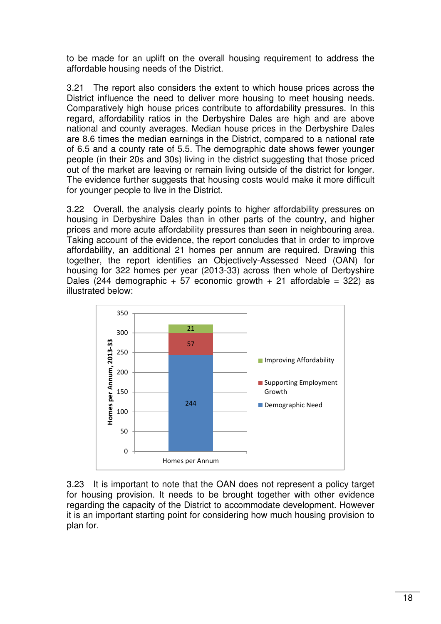to be made for an uplift on the overall housing requirement to address the affordable housing needs of the District.

3.21 The report also considers the extent to which house prices across the District influence the need to deliver more housing to meet housing needs. Comparatively high house prices contribute to affordability pressures. In this regard, affordability ratios in the Derbyshire Dales are high and are above national and county averages. Median house prices in the Derbyshire Dales are 8.6 times the median earnings in the District, compared to a national rate of 6.5 and a county rate of 5.5. The demographic date shows fewer younger people (in their 20s and 30s) living in the district suggesting that those priced out of the market are leaving or remain living outside of the district for longer. The evidence further suggests that housing costs would make it more difficult for younger people to live in the District.

3.22 Overall, the analysis clearly points to higher affordability pressures on housing in Derbyshire Dales than in other parts of the country, and higher prices and more acute affordability pressures than seen in neighbouring area. Taking account of the evidence, the report concludes that in order to improve affordability, an additional 21 homes per annum are required. Drawing this together, the report identifies an Objectively-Assessed Need (OAN) for housing for 322 homes per year (2013-33) across then whole of Derbyshire Dales (244 demographic + 57 economic growth + 21 affordable = 322) as illustrated below:



3.23 It is important to note that the OAN does not represent a policy target for housing provision. It needs to be brought together with other evidence regarding the capacity of the District to accommodate development. However it is an important starting point for considering how much housing provision to plan for.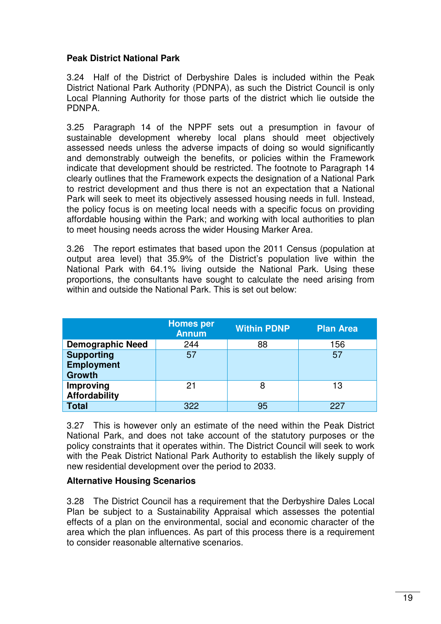#### **Peak District National Park**

3.24 Half of the District of Derbyshire Dales is included within the Peak District National Park Authority (PDNPA), as such the District Council is only Local Planning Authority for those parts of the district which lie outside the PDNPA.

3.25 Paragraph 14 of the NPPF sets out a presumption in favour of sustainable development whereby local plans should meet objectively assessed needs unless the adverse impacts of doing so would significantly and demonstrably outweigh the benefits, or policies within the Framework indicate that development should be restricted. The footnote to Paragraph 14 clearly outlines that the Framework expects the designation of a National Park to restrict development and thus there is not an expectation that a National Park will seek to meet its objectively assessed housing needs in full. Instead, the policy focus is on meeting local needs with a specific focus on providing affordable housing within the Park; and working with local authorities to plan to meet housing needs across the wider Housing Marker Area.

3.26 The report estimates that based upon the 2011 Census (population at output area level) that 35.9% of the District's population live within the National Park with 64.1% living outside the National Park. Using these proportions, the consultants have sought to calculate the need arising from within and outside the National Park. This is set out below:

|                                                         | <b>Homes per</b><br><b>Annum</b> | <b>Within PDNP</b> | <b>Plan Area</b> |
|---------------------------------------------------------|----------------------------------|--------------------|------------------|
| <b>Demographic Need</b>                                 | 244                              | 88                 | 156              |
| <b>Supporting</b><br><b>Employment</b><br><b>Growth</b> | 57                               |                    | 57               |
| Improving<br><b>Affordability</b>                       | 21                               | 8                  | 13               |
| <b>Total</b>                                            | 322                              | 95                 | 227              |

3.27 This is however only an estimate of the need within the Peak District National Park, and does not take account of the statutory purposes or the policy constraints that it operates within. The District Council will seek to work with the Peak District National Park Authority to establish the likely supply of new residential development over the period to 2033.

#### **Alternative Housing Scenarios**

3.28 The District Council has a requirement that the Derbyshire Dales Local Plan be subject to a Sustainability Appraisal which assesses the potential effects of a plan on the environmental, social and economic character of the area which the plan influences. As part of this process there is a requirement to consider reasonable alternative scenarios.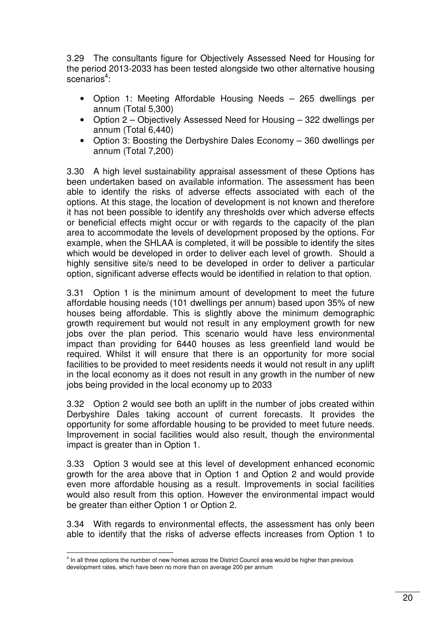3.29 The consultants figure for Objectively Assessed Need for Housing for the period 2013-2033 has been tested alongside two other alternative housing scenarios<sup>4</sup>:

- Option 1: Meeting Affordable Housing Needs 265 dwellings per annum (Total 5,300)
- Option 2 Objectively Assessed Need for Housing 322 dwellings per annum (Total 6,440)
- Option 3: Boosting the Derbyshire Dales Economy 360 dwellings per annum (Total 7,200)

3.30 A high level sustainability appraisal assessment of these Options has been undertaken based on available information. The assessment has been able to identify the risks of adverse effects associated with each of the options. At this stage, the location of development is not known and therefore it has not been possible to identify any thresholds over which adverse effects or beneficial effects might occur or with regards to the capacity of the plan area to accommodate the levels of development proposed by the options. For example, when the SHLAA is completed, it will be possible to identify the sites which would be developed in order to deliver each level of growth. Should a highly sensitive site/s need to be developed in order to deliver a particular option, significant adverse effects would be identified in relation to that option.

3.31 Option 1 is the minimum amount of development to meet the future affordable housing needs (101 dwellings per annum) based upon 35% of new houses being affordable. This is slightly above the minimum demographic growth requirement but would not result in any employment growth for new jobs over the plan period. This scenario would have less environmental impact than providing for 6440 houses as less greenfield land would be required. Whilst it will ensure that there is an opportunity for more social facilities to be provided to meet residents needs it would not result in any uplift in the local economy as it does not result in any growth in the number of new jobs being provided in the local economy up to 2033

3.32 Option 2 would see both an uplift in the number of jobs created within Derbyshire Dales taking account of current forecasts. It provides the opportunity for some affordable housing to be provided to meet future needs. Improvement in social facilities would also result, though the environmental impact is greater than in Option 1.

3.33 Option 3 would see at this level of development enhanced economic growth for the area above that in Option 1 and Option 2 and would provide even more affordable housing as a result. Improvements in social facilities would also result from this option. However the environmental impact would be greater than either Option 1 or Option 2.

3.34 With regards to environmental effects, the assessment has only been able to identify that the risks of adverse effects increases from Option 1 to

 4 In all three options the number of new homes across the District Council area would be higher than previous development rates, which have been no more than on average 200 per annum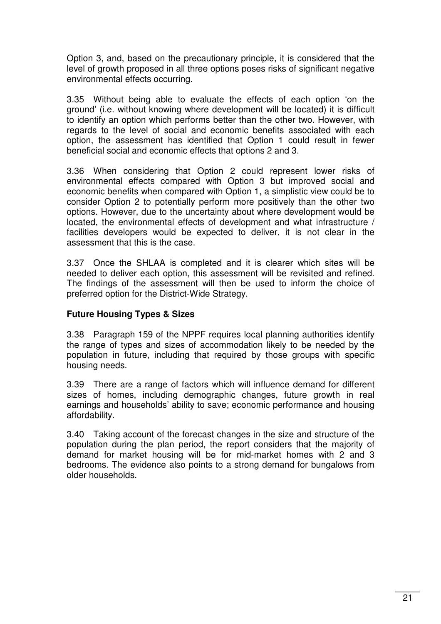Option 3, and, based on the precautionary principle, it is considered that the level of growth proposed in all three options poses risks of significant negative environmental effects occurring.

3.35 Without being able to evaluate the effects of each option 'on the ground' (i.e. without knowing where development will be located) it is difficult to identify an option which performs better than the other two. However, with regards to the level of social and economic benefits associated with each option, the assessment has identified that Option 1 could result in fewer beneficial social and economic effects that options 2 and 3.

3.36 When considering that Option 2 could represent lower risks of environmental effects compared with Option 3 but improved social and economic benefits when compared with Option 1, a simplistic view could be to consider Option 2 to potentially perform more positively than the other two options. However, due to the uncertainty about where development would be located, the environmental effects of development and what infrastructure / facilities developers would be expected to deliver, it is not clear in the assessment that this is the case.

3.37 Once the SHLAA is completed and it is clearer which sites will be needed to deliver each option, this assessment will be revisited and refined. The findings of the assessment will then be used to inform the choice of preferred option for the District-Wide Strategy.

#### **Future Housing Types & Sizes**

3.38 Paragraph 159 of the NPPF requires local planning authorities identify the range of types and sizes of accommodation likely to be needed by the population in future, including that required by those groups with specific housing needs.

3.39 There are a range of factors which will influence demand for different sizes of homes, including demographic changes, future growth in real earnings and households' ability to save; economic performance and housing affordability.

3.40 Taking account of the forecast changes in the size and structure of the population during the plan period, the report considers that the majority of demand for market housing will be for mid-market homes with 2 and 3 bedrooms. The evidence also points to a strong demand for bungalows from older households.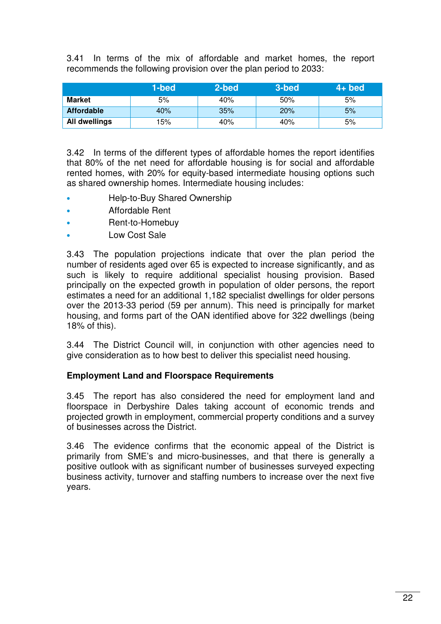3.41 In terms of the mix of affordable and market homes, the report recommends the following provision over the plan period to 2033:

|                   | 1-bed | 2-bed | 3-bed | $4+$ bed |
|-------------------|-------|-------|-------|----------|
| <b>Market</b>     | 5%    | 40%   | 50%   | 5%       |
| <b>Affordable</b> | 40%   | 35%   | 20%   | 5%       |
| All dwellings     | '5%   | 40%   | 40%   | 5%       |

3.42 In terms of the different types of affordable homes the report identifies that 80% of the net need for affordable housing is for social and affordable rented homes, with 20% for equity-based intermediate housing options such as shared ownership homes. Intermediate housing includes:

- Help-to-Buy Shared Ownership
- Affordable Rent
- Rent-to-Homebuy
- Low Cost Sale

3.43 The population projections indicate that over the plan period the number of residents aged over 65 is expected to increase significantly, and as such is likely to require additional specialist housing provision. Based principally on the expected growth in population of older persons, the report estimates a need for an additional 1,182 specialist dwellings for older persons over the 2013-33 period (59 per annum). This need is principally for market housing, and forms part of the OAN identified above for 322 dwellings (being 18% of this).

3.44 The District Council will, in conjunction with other agencies need to give consideration as to how best to deliver this specialist need housing.

#### **Employment Land and Floorspace Requirements**

3.45 The report has also considered the need for employment land and floorspace in Derbyshire Dales taking account of economic trends and projected growth in employment, commercial property conditions and a survey of businesses across the District.

3.46 The evidence confirms that the economic appeal of the District is primarily from SME's and micro-businesses, and that there is generally a positive outlook with as significant number of businesses surveyed expecting business activity, turnover and staffing numbers to increase over the next five years.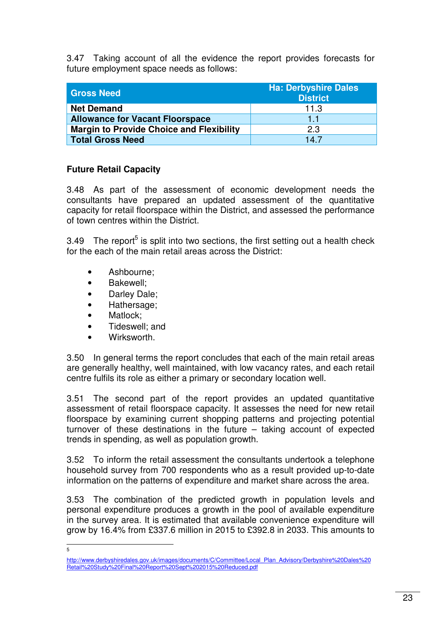3.47 Taking account of all the evidence the report provides forecasts for future employment space needs as follows:

| <b>Gross Need</b>                               | <b>Ha: Derbyshire Dales</b><br><b>District</b> |
|-------------------------------------------------|------------------------------------------------|
| <b>Net Demand</b>                               | 11.3                                           |
| <b>Allowance for Vacant Floorspace</b>          | 11                                             |
| <b>Margin to Provide Choice and Flexibility</b> | 2.3                                            |
| <b>Total Gross Need</b>                         | 147                                            |

#### **Future Retail Capacity**

3.48 As part of the assessment of economic development needs the consultants have prepared an updated assessment of the quantitative capacity for retail floorspace within the District, and assessed the performance of town centres within the District.

3.49 The report<sup>5</sup> is split into two sections, the first setting out a health check for the each of the main retail areas across the District:

- Ashbourne;
- Bakewell;
- Darley Dale;
- Hathersage;
- Matlock:
- Tideswell; and
- Wirksworth.

3.50 In general terms the report concludes that each of the main retail areas are generally healthy, well maintained, with low vacancy rates, and each retail centre fulfils its role as either a primary or secondary location well.

3.51 The second part of the report provides an updated quantitative assessment of retail floorspace capacity. It assesses the need for new retail floorspace by examining current shopping patterns and projecting potential turnover of these destinations in the future – taking account of expected trends in spending, as well as population growth.

3.52 To inform the retail assessment the consultants undertook a telephone household survey from 700 respondents who as a result provided up-to-date information on the patterns of expenditure and market share across the area.

3.53 The combination of the predicted growth in population levels and personal expenditure produces a growth in the pool of available expenditure in the survey area. It is estimated that available convenience expenditure will grow by 16.4% from £337.6 million in 2015 to £392.8 in 2033. This amounts to

—<br>5

http://www.derbyshiredales.gov.uk/images/documents/C/Committee/Local\_Plan\_Advisory/Derbyshire%20Dales%20 Retail%20Study%20Final%20Report%20Sept%202015%20Reduced.pdf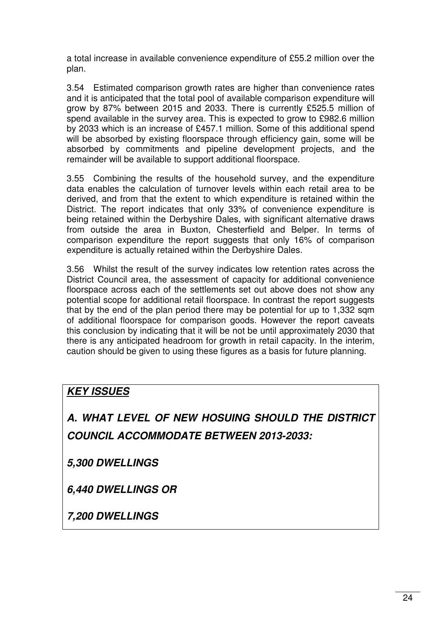a total increase in available convenience expenditure of £55.2 million over the plan.

3.54 Estimated comparison growth rates are higher than convenience rates and it is anticipated that the total pool of available comparison expenditure will grow by 87% between 2015 and 2033. There is currently £525.5 million of spend available in the survey area. This is expected to grow to £982.6 million by 2033 which is an increase of £457.1 million. Some of this additional spend will be absorbed by existing floorspace through efficiency gain, some will be absorbed by commitments and pipeline development projects, and the remainder will be available to support additional floorspace.

3.55 Combining the results of the household survey, and the expenditure data enables the calculation of turnover levels within each retail area to be derived, and from that the extent to which expenditure is retained within the District. The report indicates that only 33% of convenience expenditure is being retained within the Derbyshire Dales, with significant alternative draws from outside the area in Buxton, Chesterfield and Belper. In terms of comparison expenditure the report suggests that only 16% of comparison expenditure is actually retained within the Derbyshire Dales.

3.56 Whilst the result of the survey indicates low retention rates across the District Council area, the assessment of capacity for additional convenience floorspace across each of the settlements set out above does not show any potential scope for additional retail floorspace. In contrast the report suggests that by the end of the plan period there may be potential for up to 1,332 sqm of additional floorspace for comparison goods. However the report caveats this conclusion by indicating that it will be not be until approximately 2030 that there is any anticipated headroom for growth in retail capacity. In the interim, caution should be given to using these figures as a basis for future planning.

### **KEY ISSUES**

## **A. WHAT LEVEL OF NEW HOSUING SHOULD THE DISTRICT COUNCIL ACCOMMODATE BETWEEN 2013-2033:**

**5,300 DWELLINGS** 

**6,440 DWELLINGS OR** 

**7,200 DWELLINGS**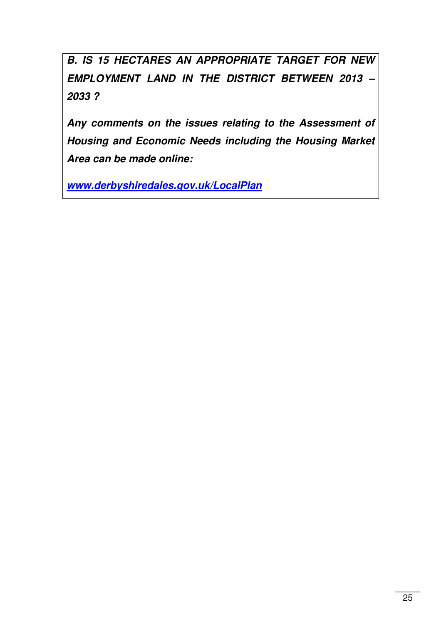**B. IS 15 HECTARES AN APPROPRIATE TARGET FOR NEW EMPLOYMENT LAND IN THE DISTRICT BETWEEN 2013 – 2033 ?** 

**Any comments on the issues relating to the Assessment of Housing and Economic Needs including the Housing Market Area can be made online:** 

**www.derbyshiredales.gov.uk/LocalPlan**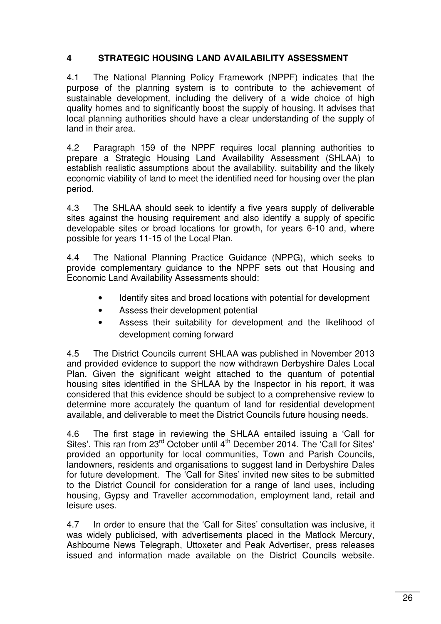#### **4 STRATEGIC HOUSING LAND AVAILABILITY ASSESSMENT**

4.1 The National Planning Policy Framework (NPPF) indicates that the purpose of the planning system is to contribute to the achievement of sustainable development, including the delivery of a wide choice of high quality homes and to significantly boost the supply of housing. It advises that local planning authorities should have a clear understanding of the supply of land in their area.

4.2 Paragraph 159 of the NPPF requires local planning authorities to prepare a Strategic Housing Land Availability Assessment (SHLAA) to establish realistic assumptions about the availability, suitability and the likely economic viability of land to meet the identified need for housing over the plan period.

4.3 The SHLAA should seek to identify a five years supply of deliverable sites against the housing requirement and also identify a supply of specific developable sites or broad locations for growth, for years 6-10 and, where possible for years 11-15 of the Local Plan.

4.4 The National Planning Practice Guidance (NPPG), which seeks to provide complementary guidance to the NPPF sets out that Housing and Economic Land Availability Assessments should:

- Identify sites and broad locations with potential for development
- Assess their development potential
- Assess their suitability for development and the likelihood of development coming forward

4.5 The District Councils current SHLAA was published in November 2013 and provided evidence to support the now withdrawn Derbyshire Dales Local Plan. Given the significant weight attached to the quantum of potential housing sites identified in the SHLAA by the Inspector in his report, it was considered that this evidence should be subject to a comprehensive review to determine more accurately the quantum of land for residential development available, and deliverable to meet the District Councils future housing needs.

4.6 The first stage in reviewing the SHLAA entailed issuing a 'Call for Sites'. This ran from 23<sup>rd</sup> October until 4<sup>th</sup> December 2014. The 'Call for Sites' provided an opportunity for local communities, Town and Parish Councils, landowners, residents and organisations to suggest land in Derbyshire Dales for future development. The 'Call for Sites' invited new sites to be submitted to the District Council for consideration for a range of land uses, including housing, Gypsy and Traveller accommodation, employment land, retail and leisure uses.

4.7 In order to ensure that the 'Call for Sites' consultation was inclusive, it was widely publicised, with advertisements placed in the Matlock Mercury, Ashbourne News Telegraph, Uttoxeter and Peak Advertiser, press releases issued and information made available on the District Councils website.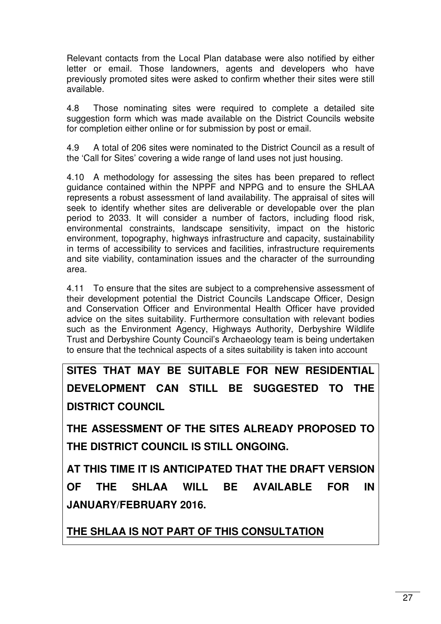Relevant contacts from the Local Plan database were also notified by either letter or email. Those landowners, agents and developers who have previously promoted sites were asked to confirm whether their sites were still available.

4.8 Those nominating sites were required to complete a detailed site suggestion form which was made available on the District Councils website for completion either online or for submission by post or email.

4.9 A total of 206 sites were nominated to the District Council as a result of the 'Call for Sites' covering a wide range of land uses not just housing.

4.10 A methodology for assessing the sites has been prepared to reflect guidance contained within the NPPF and NPPG and to ensure the SHLAA represents a robust assessment of land availability. The appraisal of sites will seek to identify whether sites are deliverable or developable over the plan period to 2033. It will consider a number of factors, including flood risk, environmental constraints, landscape sensitivity, impact on the historic environment, topography, highways infrastructure and capacity, sustainability in terms of accessibility to services and facilities, infrastructure requirements and site viability, contamination issues and the character of the surrounding area.

4.11 To ensure that the sites are subject to a comprehensive assessment of their development potential the District Councils Landscape Officer, Design and Conservation Officer and Environmental Health Officer have provided advice on the sites suitability. Furthermore consultation with relevant bodies such as the Environment Agency, Highways Authority, Derbyshire Wildlife Trust and Derbyshire County Council's Archaeology team is being undertaken to ensure that the technical aspects of a sites suitability is taken into account

**SITES THAT MAY BE SUITABLE FOR NEW RESIDENTIAL DEVELOPMENT CAN STILL BE SUGGESTED TO THE DISTRICT COUNCIL** 

**THE ASSESSMENT OF THE SITES ALREADY PROPOSED TO THE DISTRICT COUNCIL IS STILL ONGOING.** 

**AT THIS TIME IT IS ANTICIPATED THAT THE DRAFT VERSION OF THE SHLAA WILL BE AVAILABLE FOR IN JANUARY/FEBRUARY 2016.** 

**THE SHLAA IS NOT PART OF THIS CONSULTATION**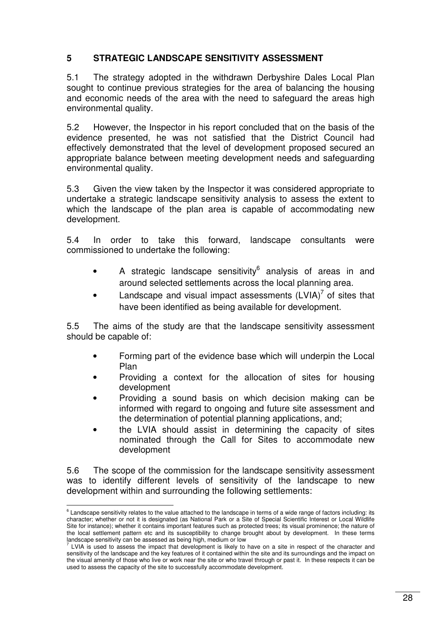#### **5 STRATEGIC LANDSCAPE SENSITIVITY ASSESSMENT**

5.1 The strategy adopted in the withdrawn Derbyshire Dales Local Plan sought to continue previous strategies for the area of balancing the housing and economic needs of the area with the need to safeguard the areas high environmental quality.

5.2 However, the Inspector in his report concluded that on the basis of the evidence presented, he was not satisfied that the District Council had effectively demonstrated that the level of development proposed secured an appropriate balance between meeting development needs and safeguarding environmental quality.

5.3 Given the view taken by the Inspector it was considered appropriate to undertake a strategic landscape sensitivity analysis to assess the extent to which the landscape of the plan area is capable of accommodating new development.

5.4 In order to take this forward, landscape consultants were commissioned to undertake the following:

- A strategic landscape sensitivity $^6$  analysis of areas in and around selected settlements across the local planning area.
- Landscape and visual impact assessments  $(LVIA)^7$  of sites that have been identified as being available for development.

5.5 The aims of the study are that the landscape sensitivity assessment should be capable of:

- Forming part of the evidence base which will underpin the Local Plan
- Providing a context for the allocation of sites for housing development
- Providing a sound basis on which decision making can be informed with regard to ongoing and future site assessment and the determination of potential planning applications, and;
- the LVIA should assist in determining the capacity of sites nominated through the Call for Sites to accommodate new development

5.6 The scope of the commission for the landscape sensitivity assessment was to identify different levels of sensitivity of the landscape to new development within and surrounding the following settlements:

 6 Landscape sensitivity relates to the value attached to the landscape in terms of a wide range of factors including: its character; whether or not it is designated (as National Park or a Site of Special Scientific Interest or Local Wildlife Site for instance); whether it contains important features such as protected trees; its visual prominence; the nature of the local settlement pattern etc and its susceptibility to change brought about by development. In these terms

landscape sensitivity can be assessed as being high, medium or low<br><sup>7</sup> LVIA is used to assess the impact that development is likely to have on a site in respect of the character and sensitivity of the landscape and the key features of it contained within the site and its surroundings and the impact on the visual amenity of those who live or work near the site or who travel through or past it. In these respects it can be used to assess the capacity of the site to successfully accommodate development.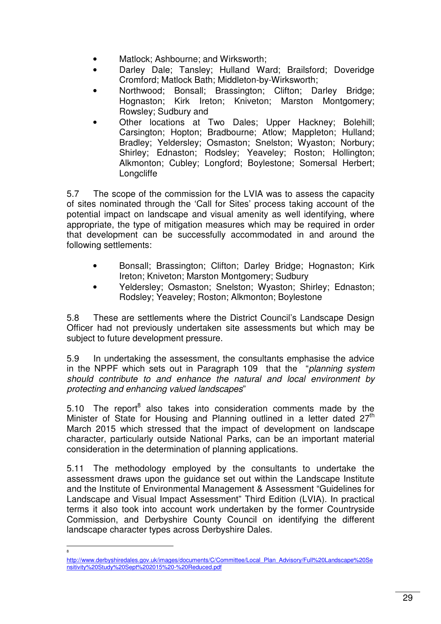- Matlock; Ashbourne; and Wirksworth;
- Darley Dale; Tansley; Hulland Ward; Brailsford; Doveridge Cromford; Matlock Bath; Middleton-by-Wirksworth;
- Northwood; Bonsall; Brassington; Clifton; Darley Bridge; Hognaston; Kirk Ireton; Kniveton; Marston Montgomery; Rowsley; Sudbury and
- Other locations at Two Dales; Upper Hackney; Bolehill; Carsington; Hopton; Bradbourne; Atlow; Mappleton; Hulland; Bradley; Yeldersley; Osmaston; Snelston; Wyaston; Norbury; Shirley; Ednaston; Rodsley; Yeaveley; Roston; Hollington; Alkmonton; Cubley; Longford; Boylestone; Somersal Herbert; **Longcliffe**

5.7 The scope of the commission for the LVIA was to assess the capacity of sites nominated through the 'Call for Sites' process taking account of the potential impact on landscape and visual amenity as well identifying, where appropriate, the type of mitigation measures which may be required in order that development can be successfully accommodated in and around the following settlements:

- Bonsall; Brassington; Clifton; Darley Bridge; Hognaston; Kirk Ireton; Kniveton; Marston Montgomery; Sudbury
- Yeldersley; Osmaston; Snelston; Wyaston; Shirley; Ednaston; Rodsley; Yeaveley; Roston; Alkmonton; Boylestone

5.8 These are settlements where the District Council's Landscape Design Officer had not previously undertaken site assessments but which may be subject to future development pressure.

5.9 In undertaking the assessment, the consultants emphasise the advice in the NPPF which sets out in Paragraph 109 that the "planning system should contribute to and enhance the natural and local environment by protecting and enhancing valued landscapes"

5.10 The report<sup>8</sup> also takes into consideration comments made by the Minister of State for Housing and Planning outlined in a letter dated  $27<sup>th</sup>$ March 2015 which stressed that the impact of development on landscape character, particularly outside National Parks, can be an important material consideration in the determination of planning applications.

5.11 The methodology employed by the consultants to undertake the assessment draws upon the guidance set out within the Landscape Institute and the Institute of Environmental Management & Assessment "Guidelines for Landscape and Visual Impact Assessment" Third Edition (LVIA). In practical terms it also took into account work undertaken by the former Countryside Commission, and Derbyshire County Council on identifying the different landscape character types across Derbyshire Dales.

8

http://www.derbyshiredales.gov.uk/images/documents/C/Committee/Local\_Plan\_Advisory/Full%20Landscape%20Se nsitivity%20Study%20Sept%202015%20-%20Reduced.pdf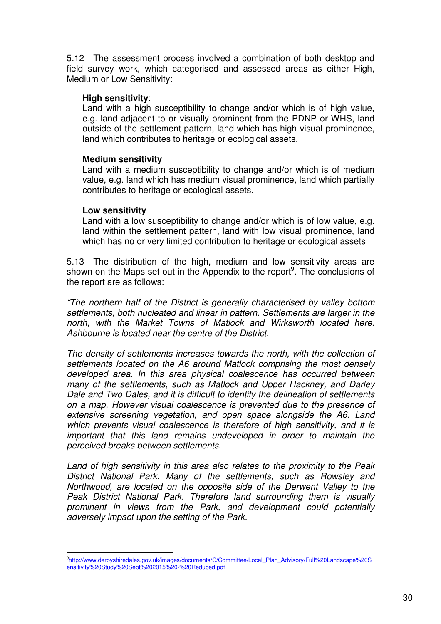5.12 The assessment process involved a combination of both desktop and field survey work, which categorised and assessed areas as either High, Medium or Low Sensitivity:

#### **High sensitivity**:

Land with a high susceptibility to change and/or which is of high value, e.g. land adjacent to or visually prominent from the PDNP or WHS, land outside of the settlement pattern, land which has high visual prominence, land which contributes to heritage or ecological assets.

#### **Medium sensitivity**

Land with a medium susceptibility to change and/or which is of medium value, e.g. land which has medium visual prominence, land which partially contributes to heritage or ecological assets.

#### **Low sensitivity**

Land with a low susceptibility to change and/or which is of low value, e.g. land within the settlement pattern, land with low visual prominence, land which has no or very limited contribution to heritage or ecological assets

5.13 The distribution of the high, medium and low sensitivity areas are shown on the Maps set out in the Appendix to the report<sup>9</sup>. The conclusions of the report are as follows:

"The northern half of the District is generally characterised by valley bottom settlements, both nucleated and linear in pattern. Settlements are larger in the north, with the Market Towns of Matlock and Wirksworth located here. Ashbourne is located near the centre of the District.

The density of settlements increases towards the north, with the collection of settlements located on the A6 around Matlock comprising the most densely developed area. In this area physical coalescence has occurred between many of the settlements, such as Matlock and Upper Hackney, and Darley Dale and Two Dales, and it is difficult to identify the delineation of settlements on a map. However visual coalescence is prevented due to the presence of extensive screening vegetation, and open space alongside the A6. Land which prevents visual coalescence is therefore of high sensitivity, and it is important that this land remains undeveloped in order to maintain the perceived breaks between settlements.

Land of high sensitivity in this area also relates to the proximity to the Peak District National Park. Many of the settlements, such as Rowsley and Northwood, are located on the opposite side of the Derwent Valley to the Peak District National Park. Therefore land surrounding them is visually prominent in views from the Park, and development could potentially adversely impact upon the setting of the Park.

e<br>http://www.derbyshiredales.gov.uk/images/documents/C/Committee/Local\_Plan\_Advisory/Full%20Landscape%20S<sup>e</sup>{ ensitivity%20Study%20Sept%202015%20-%20Reduced.pdf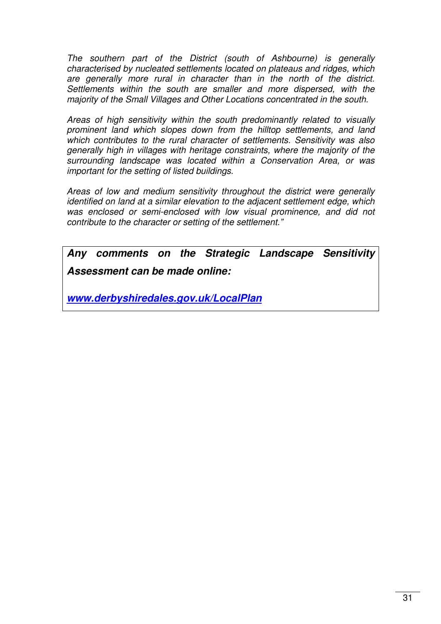The southern part of the District (south of Ashbourne) is generally characterised by nucleated settlements located on plateaus and ridges, which are generally more rural in character than in the north of the district. Settlements within the south are smaller and more dispersed, with the majority of the Small Villages and Other Locations concentrated in the south.

Areas of high sensitivity within the south predominantly related to visually prominent land which slopes down from the hilltop settlements, and land which contributes to the rural character of settlements. Sensitivity was also generally high in villages with heritage constraints, where the majority of the surrounding landscape was located within a Conservation Area, or was important for the setting of listed buildings.

Areas of low and medium sensitivity throughout the district were generally identified on land at a similar elevation to the adjacent settlement edge, which was enclosed or semi-enclosed with low visual prominence, and did not contribute to the character or setting of the settlement."

**Any comments on the Strategic Landscape Sensitivity Assessment can be made online:** 

**www.derbyshiredales.gov.uk/LocalPlan**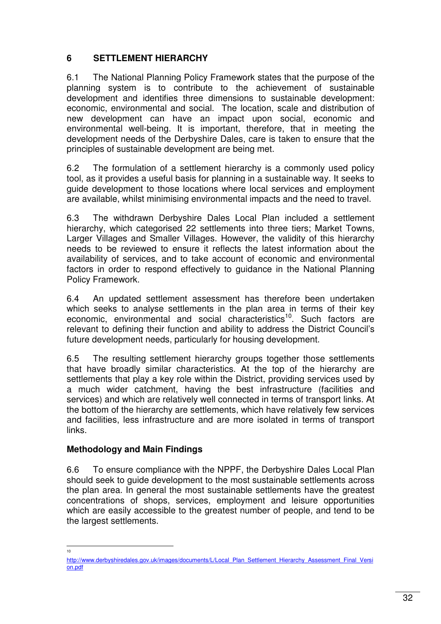#### **6 SETTLEMENT HIERARCHY**

6.1 The National Planning Policy Framework states that the purpose of the planning system is to contribute to the achievement of sustainable development and identifies three dimensions to sustainable development: economic, environmental and social. The location, scale and distribution of new development can have an impact upon social, economic and environmental well-being. It is important, therefore, that in meeting the development needs of the Derbyshire Dales, care is taken to ensure that the principles of sustainable development are being met.

6.2 The formulation of a settlement hierarchy is a commonly used policy tool, as it provides a useful basis for planning in a sustainable way. It seeks to guide development to those locations where local services and employment are available, whilst minimising environmental impacts and the need to travel.

6.3 The withdrawn Derbyshire Dales Local Plan included a settlement hierarchy, which categorised 22 settlements into three tiers; Market Towns, Larger Villages and Smaller Villages. However, the validity of this hierarchy needs to be reviewed to ensure it reflects the latest information about the availability of services, and to take account of economic and environmental factors in order to respond effectively to guidance in the National Planning Policy Framework.

6.4 An updated settlement assessment has therefore been undertaken which seeks to analyse settlements in the plan area in terms of their key economic, environmental and social characteristics<sup>10</sup>. Such factors are relevant to defining their function and ability to address the District Council's future development needs, particularly for housing development.

6.5 The resulting settlement hierarchy groups together those settlements that have broadly similar characteristics. At the top of the hierarchy are settlements that play a key role within the District, providing services used by a much wider catchment, having the best infrastructure (facilities and services) and which are relatively well connected in terms of transport links. At the bottom of the hierarchy are settlements, which have relatively few services and facilities, less infrastructure and are more isolated in terms of transport links.

#### **Methodology and Main Findings**

6.6 To ensure compliance with the NPPF, the Derbyshire Dales Local Plan should seek to guide development to the most sustainable settlements across the plan area. In general the most sustainable settlements have the greatest concentrations of shops, services, employment and leisure opportunities which are easily accessible to the greatest number of people, and tend to be the largest settlements.

 $\overline{\phantom{a}}$ 10

http://www.derbyshiredales.gov.uk/images/documents/L/Local\_Plan\_Settlement\_Hierarchy\_Assessment\_Final\_Versi\_ on.pdf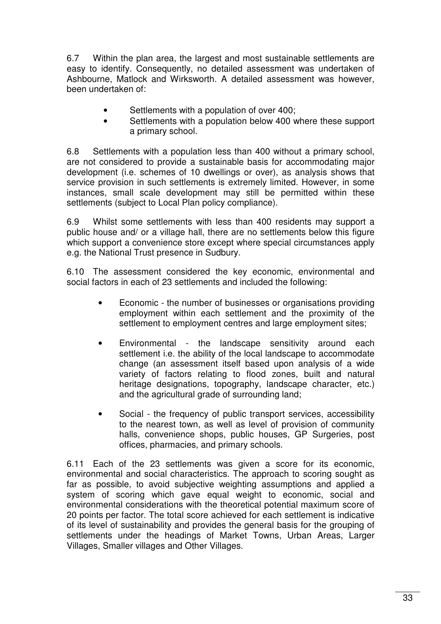6.7 Within the plan area, the largest and most sustainable settlements are easy to identify. Consequently, no detailed assessment was undertaken of Ashbourne, Matlock and Wirksworth. A detailed assessment was however, been undertaken of:

- Settlements with a population of over 400;
- Settlements with a population below 400 where these support a primary school.

6.8 Settlements with a population less than 400 without a primary school, are not considered to provide a sustainable basis for accommodating major development (i.e. schemes of 10 dwellings or over), as analysis shows that service provision in such settlements is extremely limited. However, in some instances, small scale development may still be permitted within these settlements (subject to Local Plan policy compliance).

6.9 Whilst some settlements with less than 400 residents may support a public house and/ or a village hall, there are no settlements below this figure which support a convenience store except where special circumstances apply e.g. the National Trust presence in Sudbury.

6.10 The assessment considered the key economic, environmental and social factors in each of 23 settlements and included the following:

- Economic the number of businesses or organisations providing employment within each settlement and the proximity of the settlement to employment centres and large employment sites;
- Environmental the landscape sensitivity around each settlement i.e. the ability of the local landscape to accommodate change (an assessment itself based upon analysis of a wide variety of factors relating to flood zones, built and natural heritage designations, topography, landscape character, etc.) and the agricultural grade of surrounding land;
- Social the frequency of public transport services, accessibility to the nearest town, as well as level of provision of community halls, convenience shops, public houses, GP Surgeries, post offices, pharmacies, and primary schools.

6.11 Each of the 23 settlements was given a score for its economic, environmental and social characteristics. The approach to scoring sought as far as possible, to avoid subjective weighting assumptions and applied a system of scoring which gave equal weight to economic, social and environmental considerations with the theoretical potential maximum score of 20 points per factor. The total score achieved for each settlement is indicative of its level of sustainability and provides the general basis for the grouping of settlements under the headings of Market Towns, Urban Areas, Larger Villages, Smaller villages and Other Villages.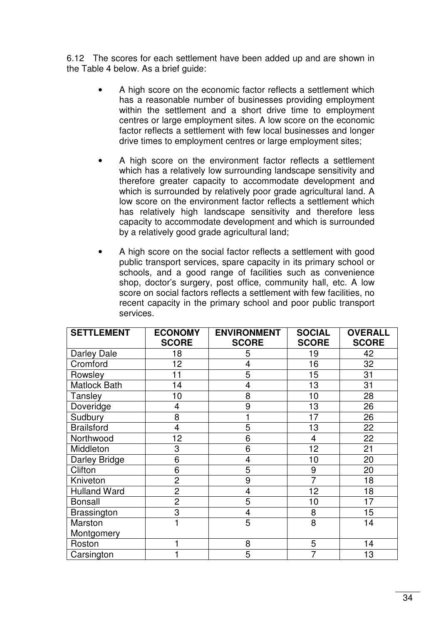6.12 The scores for each settlement have been added up and are shown in the Table 4 below. As a brief guide:

- A high score on the economic factor reflects a settlement which has a reasonable number of businesses providing employment within the settlement and a short drive time to employment centres or large employment sites. A low score on the economic factor reflects a settlement with few local businesses and longer drive times to employment centres or large employment sites;
- A high score on the environment factor reflects a settlement which has a relatively low surrounding landscape sensitivity and therefore greater capacity to accommodate development and which is surrounded by relatively poor grade agricultural land. A low score on the environment factor reflects a settlement which has relatively high landscape sensitivity and therefore less capacity to accommodate development and which is surrounded by a relatively good grade agricultural land;
- A high score on the social factor reflects a settlement with good public transport services, spare capacity in its primary school or schools, and a good range of facilities such as convenience shop, doctor's surgery, post office, community hall, etc. A low score on social factors reflects a settlement with few facilities, no recent capacity in the primary school and poor public transport services.

| <b>SETTLEMENT</b>    | <b>ECONOMY</b> | <b>ENVIRONMENT</b> | <b>SOCIAL</b>  | <b>OVERALL</b> |
|----------------------|----------------|--------------------|----------------|----------------|
|                      | <b>SCORE</b>   | <b>SCORE</b>       | <b>SCORE</b>   | <b>SCORE</b>   |
| Darley Dale          | 18             | 5                  | 19             | 42             |
| Cromford             | 12             | 4                  | 16             | 32             |
| Rowsley              | 11             | 5                  | 15             | 31             |
| <b>Matlock Bath</b>  | 14             | 4                  | 13             | 31             |
| Tansley              | 10             | 8                  | 10             | 28             |
| Doveridge            | 4              | 9                  | 13             | 26             |
| Sudbury              | 8              |                    | 17             | 26             |
| <b>Brailsford</b>    | 4              | 5                  | 13             | 22             |
| Northwood            | 12             | 6                  | 4              | 22             |
| Middleton            | 3              | 6                  | 12             | 21             |
| <b>Darley Bridge</b> | 6              | 4                  | 10             | 20             |
| Clifton              | 6              | 5                  | 9              | 20             |
| Kniveton             | $\overline{2}$ | 9                  | $\overline{7}$ | 18             |
| <b>Hulland Ward</b>  | $\overline{2}$ | $\overline{4}$     | 12             | 18             |
| <b>Bonsall</b>       | $\overline{c}$ | 5                  | 10             | 17             |
| <b>Brassington</b>   | 3              | 4                  | 8              | 15             |
| Marston              |                | 5                  | 8              | 14             |
| Montgomery           |                |                    |                |                |
| Roston               |                | 8                  | 5              | 14             |
| Carsington           |                | 5                  | 7              | 13             |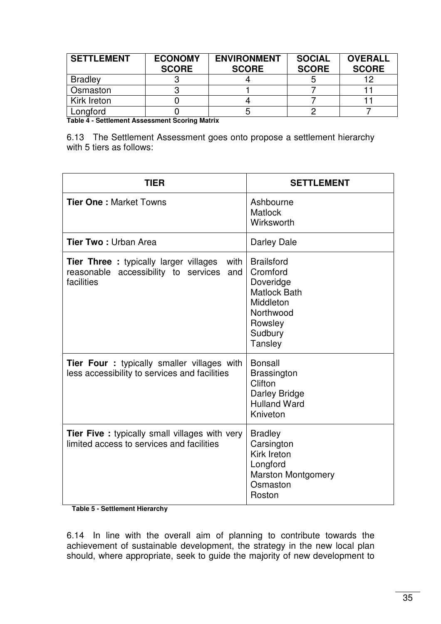| <b>SETTLEMENT</b> | <b>ECONOMY</b><br><b>SCORE</b> | <b>ENVIRONMENT</b><br><b>SCORE</b> | <b>SOCIAL</b><br><b>SCORE</b> | <b>OVERALL</b><br><b>SCORE</b> |
|-------------------|--------------------------------|------------------------------------|-------------------------------|--------------------------------|
| <b>Bradley</b>    |                                |                                    |                               | 19                             |
| Osmaston          |                                |                                    |                               |                                |
| Kirk Ireton       |                                |                                    |                               |                                |
| Longford          |                                |                                    |                               |                                |

**Table 4 - Settlement Assessment Scoring Matrix** 

6.13 The Settlement Assessment goes onto propose a settlement hierarchy with 5 tiers as follows:

| <b>TIER</b>                                                                                                       | <b>SETTLEMENT</b>                                                                                                            |  |
|-------------------------------------------------------------------------------------------------------------------|------------------------------------------------------------------------------------------------------------------------------|--|
| <b>Tier One: Market Towns</b>                                                                                     | Ashbourne<br><b>Matlock</b><br>Wirksworth                                                                                    |  |
| <b>Tier Two: Urban Area</b>                                                                                       | Darley Dale                                                                                                                  |  |
| <b>Tier Three:</b> typically larger villages<br>with<br>reasonable accessibility to services<br>and<br>facilities | <b>Brailsford</b><br>Cromford<br>Doveridge<br><b>Matlock Bath</b><br>Middleton<br>Northwood<br>Rowsley<br>Sudbury<br>Tansley |  |
| <b>Tier Four :</b> typically smaller villages with<br>less accessibility to services and facilities               | <b>Bonsall</b><br><b>Brassington</b><br>Clifton<br>Darley Bridge<br><b>Hulland Ward</b><br>Kniveton                          |  |
| <b>Tier Five:</b> typically small villages with very<br>limited access to services and facilities                 | <b>Bradley</b><br>Carsington<br>Kirk Ireton<br>Longford<br><b>Marston Montgomery</b><br>Osmaston<br>Roston                   |  |

**Table 5 - Settlement Hierarchy** 

6.14 In line with the overall aim of planning to contribute towards the achievement of sustainable development, the strategy in the new local plan should, where appropriate, seek to guide the majority of new development to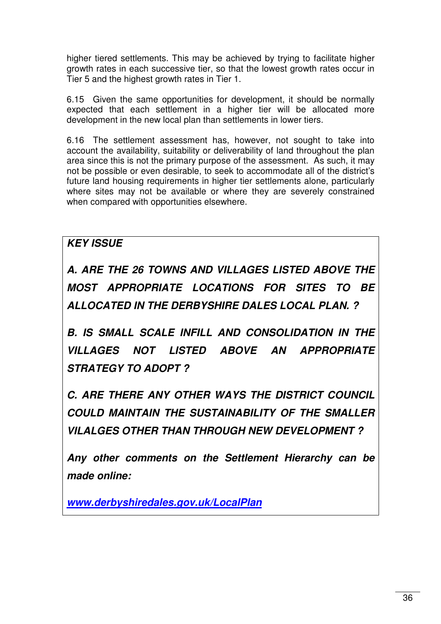higher tiered settlements. This may be achieved by trying to facilitate higher growth rates in each successive tier, so that the lowest growth rates occur in Tier 5 and the highest growth rates in Tier 1.

6.15 Given the same opportunities for development, it should be normally expected that each settlement in a higher tier will be allocated more development in the new local plan than settlements in lower tiers.

6.16 The settlement assessment has, however, not sought to take into account the availability, suitability or deliverability of land throughout the plan area since this is not the primary purpose of the assessment. As such, it may not be possible or even desirable, to seek to accommodate all of the district's future land housing requirements in higher tier settlements alone, particularly where sites may not be available or where they are severely constrained when compared with opportunities elsewhere.

### **KEY ISSUE**

**A. ARE THE 26 TOWNS AND VILLAGES LISTED ABOVE THE MOST APPROPRIATE LOCATIONS FOR SITES TO BE ALLOCATED IN THE DERBYSHIRE DALES LOCAL PLAN. ?** 

**B. IS SMALL SCALE INFILL AND CONSOLIDATION IN THE VILLAGES NOT LISTED ABOVE AN APPROPRIATE STRATEGY TO ADOPT ?** 

**C. ARE THERE ANY OTHER WAYS THE DISTRICT COUNCIL COULD MAINTAIN THE SUSTAINABILITY OF THE SMALLER VILALGES OTHER THAN THROUGH NEW DEVELOPMENT ?** 

**Any other comments on the Settlement Hierarchy can be made online:** 

**www.derbyshiredales.gov.uk/LocalPlan**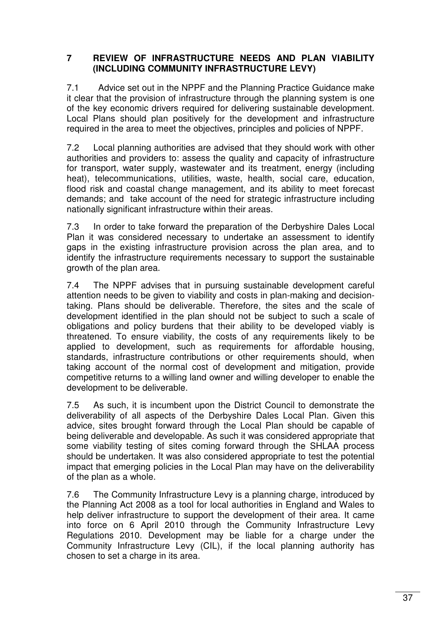#### **7 REVIEW OF INFRASTRUCTURE NEEDS AND PLAN VIABILITY (INCLUDING COMMUNITY INFRASTRUCTURE LEVY)**

7.1 Advice set out in the NPPF and the Planning Practice Guidance make it clear that the provision of infrastructure through the planning system is one of the key economic drivers required for delivering sustainable development. Local Plans should plan positively for the development and infrastructure required in the area to meet the objectives, principles and policies of NPPF.

7.2 Local planning authorities are advised that they should work with other authorities and providers to: assess the quality and capacity of infrastructure for transport, water supply, wastewater and its treatment, energy (including heat), telecommunications, utilities, waste, health, social care, education, flood risk and coastal change management, and its ability to meet forecast demands; and take account of the need for strategic infrastructure including nationally significant infrastructure within their areas.

7.3 In order to take forward the preparation of the Derbyshire Dales Local Plan it was considered necessary to undertake an assessment to identify gaps in the existing infrastructure provision across the plan area, and to identify the infrastructure requirements necessary to support the sustainable growth of the plan area.

7.4 The NPPF advises that in pursuing sustainable development careful attention needs to be given to viability and costs in plan-making and decisiontaking. Plans should be deliverable. Therefore, the sites and the scale of development identified in the plan should not be subject to such a scale of obligations and policy burdens that their ability to be developed viably is threatened. To ensure viability, the costs of any requirements likely to be applied to development, such as requirements for affordable housing, standards, infrastructure contributions or other requirements should, when taking account of the normal cost of development and mitigation, provide competitive returns to a willing land owner and willing developer to enable the development to be deliverable.

7.5 As such, it is incumbent upon the District Council to demonstrate the deliverability of all aspects of the Derbyshire Dales Local Plan. Given this advice, sites brought forward through the Local Plan should be capable of being deliverable and developable. As such it was considered appropriate that some viability testing of sites coming forward through the SHLAA process should be undertaken. It was also considered appropriate to test the potential impact that emerging policies in the Local Plan may have on the deliverability of the plan as a whole.

7.6 The Community Infrastructure Levy is a planning charge, introduced by the Planning Act 2008 as a tool for local authorities in England and Wales to help deliver infrastructure to support the development of their area. It came into force on 6 April 2010 through the Community Infrastructure Levy Regulations 2010. Development may be liable for a charge under the Community Infrastructure Levy (CIL), if the local planning authority has chosen to set a charge in its area.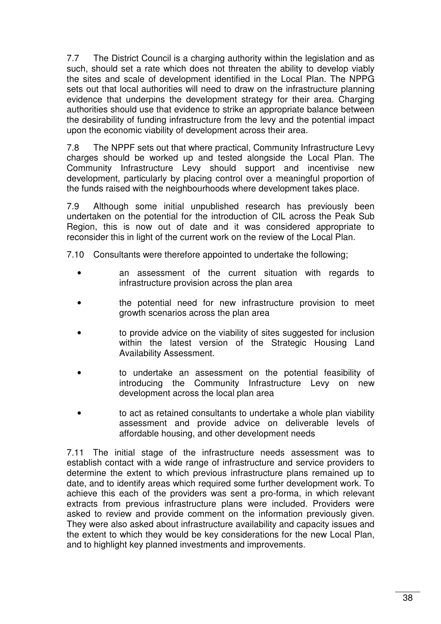7.7 The District Council is a charging authority within the legislation and as such, should set a rate which does not threaten the ability to develop viably the sites and scale of development identified in the Local Plan. The NPPG sets out that local authorities will need to draw on the infrastructure planning evidence that underpins the development strategy for their area. Charging authorities should use that evidence to strike an appropriate balance between the desirability of funding infrastructure from the levy and the potential impact upon the economic viability of development across their area.

7.8 The NPPF sets out that where practical, Community Infrastructure Levy charges should be worked up and tested alongside the Local Plan. The Community Infrastructure Levy should support and incentivise new development, particularly by placing control over a meaningful proportion of the funds raised with the neighbourhoods where development takes place.

7.9 Although some initial unpublished research has previously been undertaken on the potential for the introduction of CIL across the Peak Sub Region, this is now out of date and it was considered appropriate to reconsider this in light of the current work on the review of the Local Plan.

7.10 Consultants were therefore appointed to undertake the following;

- an assessment of the current situation with regards to infrastructure provision across the plan area
- the potential need for new infrastructure provision to meet growth scenarios across the plan area
- to provide advice on the viability of sites suggested for inclusion within the latest version of the Strategic Housing Land Availability Assessment.
- to undertake an assessment on the potential feasibility of introducing the Community Infrastructure Levy on new development across the local plan area
- to act as retained consultants to undertake a whole plan viability assessment and provide advice on deliverable levels of affordable housing, and other development needs

7.11 The initial stage of the infrastructure needs assessment was to establish contact with a wide range of infrastructure and service providers to determine the extent to which previous infrastructure plans remained up to date, and to identify areas which required some further development work. To achieve this each of the providers was sent a pro-forma, in which relevant extracts from previous infrastructure plans were included. Providers were asked to review and provide comment on the information previously given. They were also asked about infrastructure availability and capacity issues and the extent to which they would be key considerations for the new Local Plan, and to highlight key planned investments and improvements.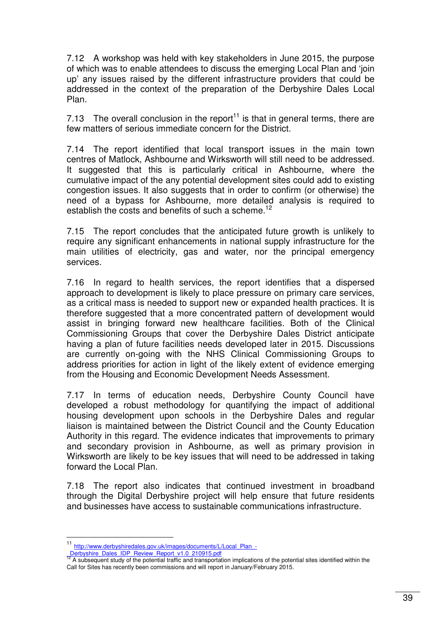7.12 A workshop was held with key stakeholders in June 2015, the purpose of which was to enable attendees to discuss the emerging Local Plan and 'join up' any issues raised by the different infrastructure providers that could be addressed in the context of the preparation of the Derbyshire Dales Local Plan.

7.13 The overall conclusion in the report<sup>11</sup> is that in general terms, there are few matters of serious immediate concern for the District.

7.14 The report identified that local transport issues in the main town centres of Matlock, Ashbourne and Wirksworth will still need to be addressed. It suggested that this is particularly critical in Ashbourne, where the cumulative impact of the any potential development sites could add to existing congestion issues. It also suggests that in order to confirm (or otherwise) the need of a bypass for Ashbourne, more detailed analysis is required to establish the costs and benefits of such a scheme.<sup>12</sup>

7.15 The report concludes that the anticipated future growth is unlikely to require any significant enhancements in national supply infrastructure for the main utilities of electricity, gas and water, nor the principal emergency services.

7.16 In regard to health services, the report identifies that a dispersed approach to development is likely to place pressure on primary care services, as a critical mass is needed to support new or expanded health practices. It is therefore suggested that a more concentrated pattern of development would assist in bringing forward new healthcare facilities. Both of the Clinical Commissioning Groups that cover the Derbyshire Dales District anticipate having a plan of future facilities needs developed later in 2015. Discussions are currently on-going with the NHS Clinical Commissioning Groups to address priorities for action in light of the likely extent of evidence emerging from the Housing and Economic Development Needs Assessment.

7.17 In terms of education needs, Derbyshire County Council have developed a robust methodology for quantifying the impact of additional housing development upon schools in the Derbyshire Dales and regular liaison is maintained between the District Council and the County Education Authority in this regard. The evidence indicates that improvements to primary and secondary provision in Ashbourne, as well as primary provision in Wirksworth are likely to be key issues that will need to be addressed in taking forward the Local Plan.

7.18 The report also indicates that continued investment in broadband through the Digital Derbyshire project will help ensure that future residents and businesses have access to sustainable communications infrastructure.

 $\overline{\phantom{a}}$ 

<sup>11</sup> http://www.derbyshiredales.gov.uk/images/documents/L/Local\_Plan\_-

Derbyshire\_Dales\_IDP\_Review\_Report\_v1.0\_210915.pdf<br><sup>12</sup> A subsequent study of the potential traffic and transportation implications of the potential sites identified within the Call for Sites has recently been commissions and will report in January/February 2015.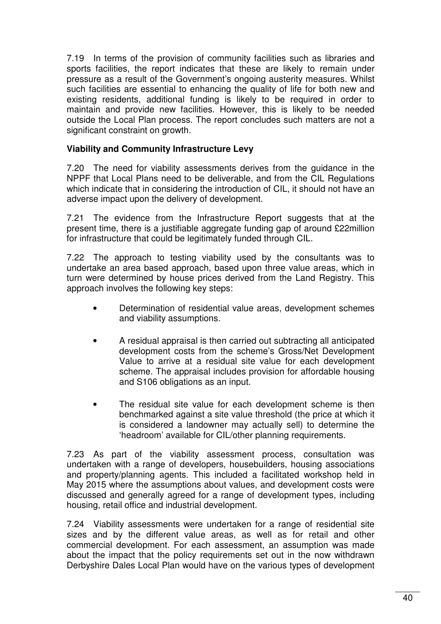7.19 In terms of the provision of community facilities such as libraries and sports facilities, the report indicates that these are likely to remain under pressure as a result of the Government's ongoing austerity measures. Whilst such facilities are essential to enhancing the quality of life for both new and existing residents, additional funding is likely to be required in order to maintain and provide new facilities. However, this is likely to be needed outside the Local Plan process. The report concludes such matters are not a significant constraint on growth.

#### **Viability and Community Infrastructure Levy**

7.20 The need for viability assessments derives from the guidance in the NPPF that Local Plans need to be deliverable, and from the CIL Regulations which indicate that in considering the introduction of CIL, it should not have an adverse impact upon the delivery of development.

7.21 The evidence from the Infrastructure Report suggests that at the present time, there is a justifiable aggregate funding gap of around £22million for infrastructure that could be legitimately funded through CIL.

7.22 The approach to testing viability used by the consultants was to undertake an area based approach, based upon three value areas, which in turn were determined by house prices derived from the Land Registry. This approach involves the following key steps:

- Determination of residential value areas, development schemes and viability assumptions.
- A residual appraisal is then carried out subtracting all anticipated development costs from the scheme's Gross/Net Development Value to arrive at a residual site value for each development scheme. The appraisal includes provision for affordable housing and S106 obligations as an input.
- The residual site value for each development scheme is then benchmarked against a site value threshold (the price at which it is considered a landowner may actually sell) to determine the 'headroom' available for CIL/other planning requirements.

7.23 As part of the viability assessment process, consultation was undertaken with a range of developers, housebuilders, housing associations and property/planning agents. This included a facilitated workshop held in May 2015 where the assumptions about values, and development costs were discussed and generally agreed for a range of development types, including housing, retail office and industrial development.

7.24 Viability assessments were undertaken for a range of residential site sizes and by the different value areas, as well as for retail and other commercial development. For each assessment, an assumption was made about the impact that the policy requirements set out in the now withdrawn Derbyshire Dales Local Plan would have on the various types of development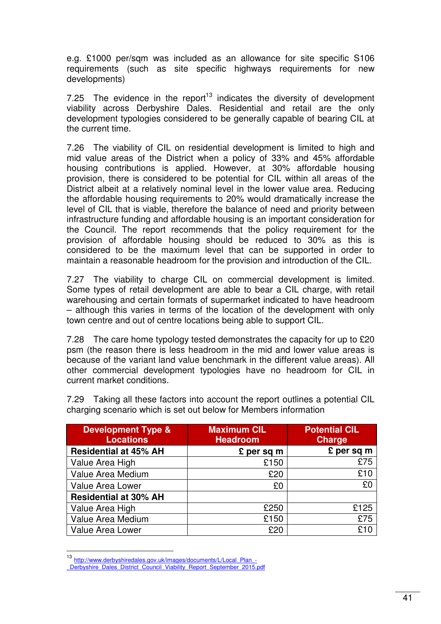e.g. £1000 per/sqm was included as an allowance for site specific S106 requirements (such as site specific highways requirements for new developments)

7.25 The evidence in the report<sup>13</sup> indicates the diversity of development viability across Derbyshire Dales. Residential and retail are the only development typologies considered to be generally capable of bearing CIL at the current time.

7.26 The viability of CIL on residential development is limited to high and mid value areas of the District when a policy of 33% and 45% affordable housing contributions is applied. However, at 30% affordable housing provision, there is considered to be potential for CIL within all areas of the District albeit at a relatively nominal level in the lower value area. Reducing the affordable housing requirements to 20% would dramatically increase the level of CIL that is viable, therefore the balance of need and priority between infrastructure funding and affordable housing is an important consideration for the Council. The report recommends that the policy requirement for the provision of affordable housing should be reduced to 30% as this is considered to be the maximum level that can be supported in order to maintain a reasonable headroom for the provision and introduction of the CIL.

7.27 The viability to charge CIL on commercial development is limited. Some types of retail development are able to bear a CIL charge, with retail warehousing and certain formats of supermarket indicated to have headroom – although this varies in terms of the location of the development with only town centre and out of centre locations being able to support CIL.

7.28 The care home typology tested demonstrates the capacity for up to £20 psm (the reason there is less headroom in the mid and lower value areas is because of the variant land value benchmark in the different value areas). All other commercial development typologies have no headroom for CIL in current market conditions.

7.29 Taking all these factors into account the report outlines a potential CIL charging scenario which is set out below for Members information

| <b>Development Type &amp;</b><br><b>Locations</b> | <b>Maximum CIL</b><br><b>Headroom</b> | <b>Potential CIL</b><br><b>Charge</b> |
|---------------------------------------------------|---------------------------------------|---------------------------------------|
| <b>Residential at 45% AH</b>                      | £ per sq m                            | £ per sq m                            |
| Value Area High                                   | £150                                  | £75                                   |
| Value Area Medium                                 | £20                                   | £10                                   |
| Value Area Lower                                  | £0                                    | £0                                    |
| <b>Residential at 30% AH</b>                      |                                       |                                       |
| Value Area High                                   | £250                                  | £125                                  |
| Value Area Medium                                 | £150                                  | £75                                   |
| <b>Value Area Lower</b>                           | £20                                   | £10                                   |

<sup>13</sup> http://www.derbyshiredales.gov.uk/images/documents/L/Local\_Plan\_-

 $\overline{\phantom{a}}$ 

Derbyshire Dales District Council Viability Report September 2015.pdf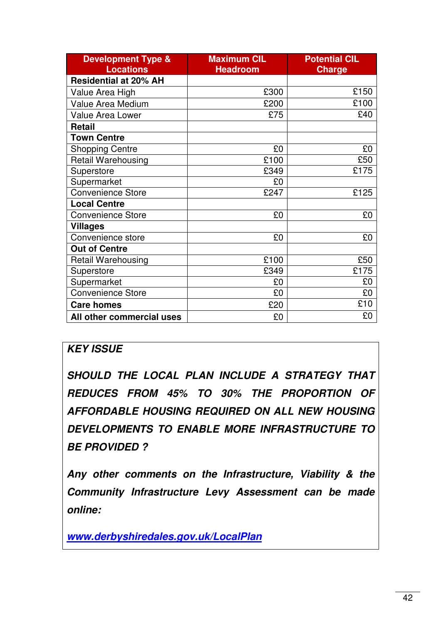| <b>Development Type &amp;</b><br><b>Locations</b> | <b>Maximum CIL</b><br><b>Headroom</b> | <b>Potential CIL</b><br><b>Charge</b> |
|---------------------------------------------------|---------------------------------------|---------------------------------------|
| <b>Residential at 20% AH</b>                      |                                       |                                       |
| Value Area High                                   | £300                                  | £150                                  |
| Value Area Medium                                 | £200                                  | £100                                  |
| <b>Value Area Lower</b>                           | £75                                   | £40                                   |
| <b>Retail</b>                                     |                                       |                                       |
| <b>Town Centre</b>                                |                                       |                                       |
| <b>Shopping Centre</b>                            | £0                                    | £0                                    |
| <b>Retail Warehousing</b>                         | £100                                  | £50                                   |
| Superstore                                        | £349                                  | £175                                  |
| Supermarket                                       | £0                                    |                                       |
| <b>Convenience Store</b>                          | £247                                  | £125                                  |
| <b>Local Centre</b>                               |                                       |                                       |
| <b>Convenience Store</b>                          | £0                                    | £0                                    |
| Villages                                          |                                       |                                       |
| Convenience store                                 | £0                                    | £0                                    |
| <b>Out of Centre</b>                              |                                       |                                       |
| <b>Retail Warehousing</b>                         | £100                                  | £50                                   |
| Superstore                                        | £349                                  | £175                                  |
| Supermarket                                       | £0                                    | £0                                    |
| <b>Convenience Store</b>                          | £0                                    | £0                                    |
| <b>Care homes</b>                                 | £20                                   | £10                                   |
| All other commercial uses                         | £0                                    | £0                                    |

### **KEY ISSUE**

**SHOULD THE LOCAL PLAN INCLUDE A STRATEGY THAT REDUCES FROM 45% TO 30% THE PROPORTION OF AFFORDABLE HOUSING REQUIRED ON ALL NEW HOUSING DEVELOPMENTS TO ENABLE MORE INFRASTRUCTURE TO BE PROVIDED ?** 

**Any other comments on the Infrastructure, Viability & the Community Infrastructure Levy Assessment can be made online:** 

**www.derbyshiredales.gov.uk/LocalPlan**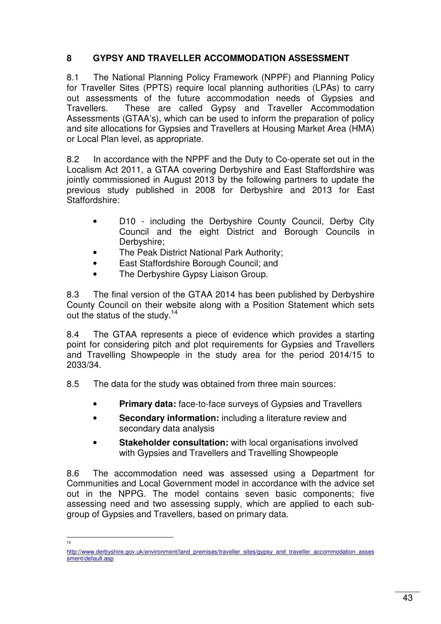#### **8 GYPSY AND TRAVELLER ACCOMMODATION ASSESSMENT**

8.1 The National Planning Policy Framework (NPPF) and Planning Policy for Traveller Sites (PPTS) require local planning authorities (LPAs) to carry out assessments of the future accommodation needs of Gypsies and Travellers. These are called Gypsy and Traveller Accommodation Assessments (GTAA's), which can be used to inform the preparation of policy and site allocations for Gypsies and Travellers at Housing Market Area (HMA) or Local Plan level, as appropriate.

8.2 In accordance with the NPPF and the Duty to Co-operate set out in the Localism Act 2011, a GTAA covering Derbyshire and East Staffordshire was jointly commissioned in August 2013 by the following partners to update the previous study published in 2008 for Derbyshire and 2013 for East Staffordshire:

- D10 including the Derbyshire County Council, Derby City Council and the eight District and Borough Councils in Derbyshire;
- The Peak District National Park Authority;
- East Staffordshire Borough Council; and
- The Derbyshire Gypsy Liaison Group.

8.3 The final version of the GTAA 2014 has been published by Derbyshire County Council on their website along with a Position Statement which sets out the status of the study.<sup>14</sup>

8.4 The GTAA represents a piece of evidence which provides a starting point for considering pitch and plot requirements for Gypsies and Travellers and Travelling Showpeople in the study area for the period 2014/15 to 2033/34.

8.5 The data for the study was obtained from three main sources:

- **Primary data:** face-to-face surveys of Gypsies and Travellers
- **Secondary information:** including a literature review and secondary data analysis
- **Stakeholder consultation:** with local organisations involved with Gypsies and Travellers and Travelling Showpeople

8.6 The accommodation need was assessed using a Department for Communities and Local Government model in accordance with the advice set out in the NPPG. The model contains seven basic components; five assessing need and two assessing supply, which are applied to each subgroup of Gypsies and Travellers, based on primary data.

 $\frac{1}{14}$ 

http://www.derbyshire.gov.uk/environment/land\_premises/traveller\_sites/gypsy\_and\_traveller\_accommodation\_asses sment/default.asp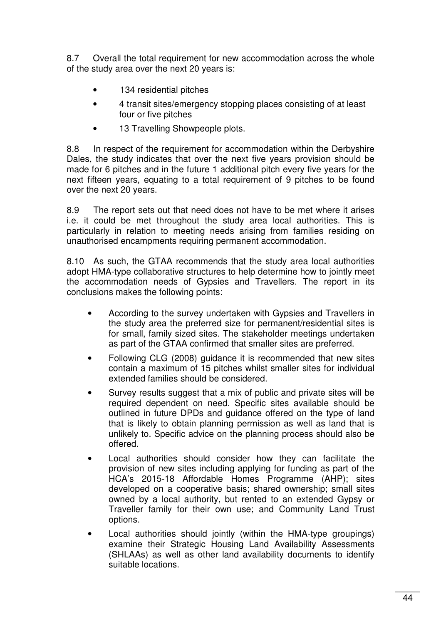8.7 Overall the total requirement for new accommodation across the whole of the study area over the next 20 years is:

- 134 residential pitches
- 4 transit sites/emergency stopping places consisting of at least four or five pitches
- 13 Travelling Showpeople plots.

8.8 In respect of the requirement for accommodation within the Derbyshire Dales, the study indicates that over the next five years provision should be made for 6 pitches and in the future 1 additional pitch every five years for the next fifteen years, equating to a total requirement of 9 pitches to be found over the next 20 years.

8.9 The report sets out that need does not have to be met where it arises i.e. it could be met throughout the study area local authorities. This is particularly in relation to meeting needs arising from families residing on unauthorised encampments requiring permanent accommodation.

8.10 As such, the GTAA recommends that the study area local authorities adopt HMA-type collaborative structures to help determine how to jointly meet the accommodation needs of Gypsies and Travellers. The report in its conclusions makes the following points:

- According to the survey undertaken with Gypsies and Travellers in the study area the preferred size for permanent/residential sites is for small, family sized sites. The stakeholder meetings undertaken as part of the GTAA confirmed that smaller sites are preferred.
- Following CLG (2008) guidance it is recommended that new sites contain a maximum of 15 pitches whilst smaller sites for individual extended families should be considered.
- Survey results suggest that a mix of public and private sites will be required dependent on need. Specific sites available should be outlined in future DPDs and guidance offered on the type of land that is likely to obtain planning permission as well as land that is unlikely to. Specific advice on the planning process should also be offered.
- Local authorities should consider how they can facilitate the provision of new sites including applying for funding as part of the HCA's 2015-18 Affordable Homes Programme (AHP); sites developed on a cooperative basis; shared ownership; small sites owned by a local authority, but rented to an extended Gypsy or Traveller family for their own use; and Community Land Trust options.
- Local authorities should jointly (within the HMA-type groupings) examine their Strategic Housing Land Availability Assessments (SHLAAs) as well as other land availability documents to identify suitable locations.